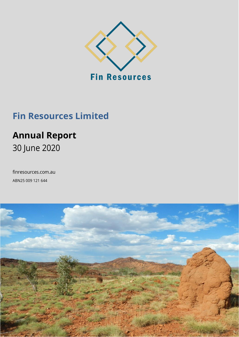

# **Fin Resources Limited**

# **Annual Report** 30 June 2020

finresources.com.au ABN25 009 121 644

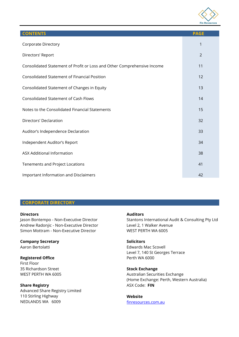

| <b>CONTENTS</b>                                                         | <b>PAGE</b> |
|-------------------------------------------------------------------------|-------------|
| Corporate Directory                                                     | 1           |
| Directors' Report                                                       | 2           |
| Consolidated Statement of Profit or Loss and Other Comprehensive Income | 11          |
| <b>Consolidated Statement of Financial Position</b>                     | 12          |
| Consolidated Statement of Changes in Equity                             | 13          |
| <b>Consolidated Statement of Cash Flows</b>                             | 14          |
| Notes to the Consolidated Financial Statements                          | 15          |
| Directors' Declaration                                                  | 32          |
| Auditor's Independence Declaration                                      | 33          |
| Independent Auditor's Report                                            | 34          |
| <b>ASX Additional Information</b>                                       | 38          |
| Tenements and Project Locations                                         | 41          |
| Important Information and Disclaimers                                   | 42          |

# **CORPORATE DIRECTORY**

#### **Directors**

Jason Bontempo - Non-Executive Director Andrew Radonjic - Non-Executive Director Simon Mottram - Non-Executive Director

#### **Company Secretary** Aaron Bertolatti

**Registered Office** First Floor 35 Richardson Street WEST PERTH WA 6005

**Share Registry** Advanced Share Registry Limited 110 Stirling Highway NEDLANDS WA 6009

#### **Auditors**

Stantons International Audit & Consulting Pty Ltd Level 2, 1 Walker Avenue WEST PERTH WA 6005

#### **Solicitors**

Edwards Mac Scovell Level 7, 140 St Georges Terrace Perth WA 6000

#### **Stock Exchange**

Australian Securities Exchange (Home Exchange: Perth, Western Australia) ASX Code: **FIN**

**Website** finresources.com.au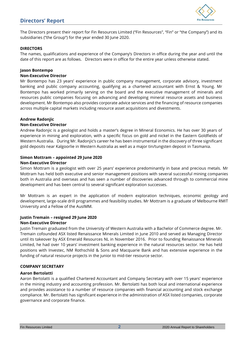# **Directors' Report**



The Directors present their report for Fin Resources Limited ("Fin Resources", "Fin" or "the Company") and its subsidiaries ("the Group") for the year ended 30 June 2020.

## **DIRECTORS**

The names, qualifications and experience of the Company's Directors in office during the year and until the date of this report are as follows. Directors were in office for the entire year unless otherwise stated.

# **Jason Bontempo**

## **Non-Executive Director**

Mr Bontempo has 23 years' experience in public company management, corporate advisory, investment banking and public company accounting, qualifying as a chartered accountant with Ernst & Young. Mr Bontempo has worked primarily serving on the board and the executive management of minerals and resources public companies focusing on advancing and developing mineral resource assets and business development. Mr Bontempo also provides corporate advice services and the financing of resource companies across multiple capital markets including resource asset acquisitions and divestments.

# **Andrew Radonjic**

# **Non-Executive Director**

Andrew Radonjic is a geologist and holds a master's degree in Mineral Economics. He has over 30 years of experience in mining and exploration, with a specific focus on gold and nickel in the Eastern Goldfields of Western Australia. During Mr. Radonjic's career he has been instrumental in the discovery of three significant gold deposits near Kalgoorlie in Western Australia as well as a major tin/tungsten deposit in Tasmania.

# **Simon Mottram – appointed 29 June 2020**

#### **Non-Executive Director**

Simon Mottram is a geologist with over 25 years' experience predominantly in base and precious metals. Mr Mottram has held both executive and senior management positions with several successful mining companies both in Australia and overseas and has seen a number of discoveries advanced through to commercial mine development and has been central to several significant exploration successes.

Mr Mottram is an expert in the application of modern exploration techniques, economic geology and development, large-scale drill programmes and feasibility studies. Mr Mottram is a graduate of Melbourne RMIT University and a Fellow of the AusIMM.

# **Justin Tremain – resigned 29 June 2020**

#### **Non-Executive Director**

Justin Tremain graduated from the University of Western Australia with a Bachelor of Commerce degree. Mr. Tremain cofounded ASX listed Renaissance Minerals Limited in June 2010 and served as Managing Director until its takeover by ASX Emerald Resources NL in November 2016. Prior to founding Renaissance Minerals Limited, he had over 10 years' investment banking experience in the natural resources sector. He has held positions with Investec, NM Rothschild & Sons and Macquarie Bank and has extensive experience in the funding of natural resource projects in the junior to mid-tier resource sector.

#### **COMPANY SECRETARY**

# **Aaron Bertolatti**

Aaron Bertolatti is a qualified Chartered Accountant and Company Secretary with over 15 years' experience in the mining industry and accounting profession. Mr. Bertolatti has both local and international experience and provides assistance to a number of resource companies with financial accounting and stock exchange compliance. Mr. Bertolatti has significant experience in the administration of ASX listed companies, corporate governance and corporate finance.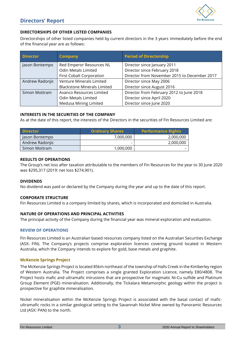

# **DIRECTORSHIPS OF OTHER LISTED COMPANIES**

Directorships of other listed companies held by current directors in the 3 years immediately before the end of the financial year are as follows:

| <b>Director</b> | <b>Company</b>                     | <b>Period of Directorship</b>                |
|-----------------|------------------------------------|----------------------------------------------|
| Jason Bontempo  | Red Emperor Resources NL           | Director since January 2011                  |
|                 | Odin Metals Limited                | Director since February 2018                 |
|                 | First Cobalt Corporation           | Director from November 2015 to December 2017 |
| Andrew Radonjic | Venture Minerals Limited           | Director since May 2006                      |
|                 | <b>Blackstone Minerals Limited</b> | Director since August 2016                   |
| Simon Mottram   | Avanco Resources Limited           | Director from February 2012 to June 2018     |
|                 | Odin Metals Limited                | Director since April 2020                    |
|                 | Medusa Mining Limited              | Director since June 2020                     |

# **INTERESTS IN THE SECURITIES OF THE COMPANY**

As at the date of this report, the interests of the Directors in the securities of Fin Resources Limited are:

| <b>Director</b> | <b>Ordinary Shares</b> | <b>Performance Rights</b> |
|-----------------|------------------------|---------------------------|
| Jason Bontempo  | 7,000,000              | 2,000,000                 |
| Andrew Radonjic |                        | 2,000,000                 |
| Simon Mottram   | 1,000,000              |                           |

# **RESULTS OF OPERATIONS**

The Group's net loss after taxation attributable to the members of Fin Resources for the year to 30 June 2020 was \$295,317 (2019: net loss \$274,901).

# **DIVIDENDS**

No dividend was paid or declared by the Company during the year and up to the date of this report.

# **CORPORATE STRUCTURE**

Fin Resources Limited is a company limited by shares, which is incorporated and domiciled in Australia.

# **NATURE OF OPERATIONS AND PRINCIPAL ACTIVITIES**

The principal activity of the Company during the financial year was mineral exploration and evaluation.

# **REVIEW OF OPERATIONS**

Fin Resources Limited is an Australian based resources company listed on the Australian Securities Exchange (ASX: FIN). The Company's projects comprise exploration licences covering ground located in Western Australia, which the Company intends to explore for gold, base metals and graphite.

# **McKenzie Springs Project**

The McKenzie Springs Project is located 85km northeast of the township of Halls Creek in the Kimberley region of Western Australia. The Project comprises a single granted Exploration Licence, namely E80/4808. The Project hosts mafic and ultramafic intrusions that are prospective for magmatic Ni-Cu sulfide and Platinum Group Element (PGE) mineralisation. Additionally, the Tickalara Metamorphic geology within the project is prospective for graphite mineralisation.

Nickel mineralisation within the McKenzie Springs Project is associated with the basal contact of maficultramafic rocks in a similar geological setting to the Savannah Nickel Mine owned by Panoramic Resources Ltd (ASX: PAN) to the north.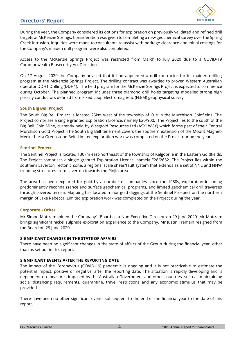# **Directors' Report**



During the year, the Company considered its options for exploration on previously validated and refined drill targets at McKenzie Springs. Consideration was given to completing a new geochemical survey over the Spring Creek intrusion, inquiries were made to consultants to assist with heritage clearance and initial costings for the Company's maiden drill program were also completed.

Access to the McKenzie Springs Project was restricted from March to July 2020 due to a COVID-19 Commonwealth Biosecurity Act Direction.

On 17 August 2020 the Company advised that it had appointed a drill contractor for its maiden drilling program at the McKenzie Springs Project. The drilling contract was awarded to proven Western Australian operator DDH1 Drilling (DDH1). The field program for the McKenzie Springs Project is expected to commence during October. The planned program includes three diamond drill holes targeting modelled strong high priority conductors defined from Fixed Loop Electromagnetic (FLEM) geophysical survey.

# **South Big Bell Project**

The South Big Bell Project is located 25km west of the township of Cue in the Murchison Goldfields. The Project comprises a single granted Exploration Licence, namely E20/900. The Project lies to the south of the Big Bell Gold Mine, currently held by Westgold Resources Ltd (ASX: WGX) which forms part of their Central Murchison Gold Project. The South Big Bell tenement covers the southern extension of the Mount Magnet-Meekatharra Greenstone Belt. Limited exploration work was completed on the Project during the year.

#### **Sentinel Project**

The Sentinel Project is located 130km east-northeast of the township of Kalgoorlie in the Eastern Goldfields. The Project comprises a single granted Exploration Licence, namely E28/2652. The Project lies within the southern Laverton Tectonic Zone, a regional scale shear/fault system that extends as a set of NNE and NNW trending structures from Laverton towards the Pinjin area.

The area has been explored for gold by a number of companies since the 1980s, exploration including predominantly reconnaissance and surface geochemical programs, and limited geochemical drill traverses through covered terrain. Mapping has located minor gold diggings at the Sentinel Prospect on the northern margin of Lake Rebecca. Limited exploration work was completed on the Project during the year.

#### **Corporate - Other**

Mr Simon Mottram joined the Company's Board as a Non-Executive Director on 29 June 2020. Mr Mottram brings significant nickel sulphide exploration experience to the Company. Mr Justin Tremain resigned from the Board on 29 June 2020.

#### **SIGNIFICANT CHANGES IN THE STATE OF AFFAIRS**

There have been no significant changes in the state of affairs of the Group during the financial year, other than as set out in this report.

# **SIGNIFICANT EVENTS AFTER THE REPORTING DATE**

The impact of the Coronavirus (COVID-19) pandemic is ongoing and it is not practicable to estimate the potential impact, positive or negative, after the reporting date. The situation is rapidly developing and is dependent on measures imposed by the Australian Government and other countries, such as maintaining social distancing requirements, quarantine, travel restrictions and any economic stimulus that may be provided.

There have been no other significant events subsequent to the end of the financial year to the date of this report.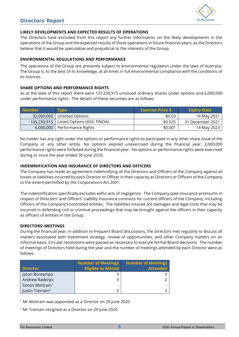# **LIKELY DEVELOPMENTS AND EXPECTED RESULTS OF OPERATIONS**

The Directors have excluded from this report any further information on the likely developments in the operations of the Group and the expected results of those operations in future financial years, as the Directors believe that it would be speculative and prejudicial to the interests of the Group.

# **ENVIRONMENTAL REGULATIONS AND PERFORMANCE**

The operations of the Group are presently subject to environmental regulation under the laws of Australia. The Group is, to the best of its knowledge, at all times in full environmental compliance with the conditions of its licences.

# **SHARE OPTIONS AND PERFORMANCE RIGHTS**

As at the date of this report there were 137,230,915 unissued ordinary shares under options and 6,000,000 under performance rights. The details of these securities are as follows:

| <b>Number</b> | <b>Type</b>                               | <b>Exercise Price \$</b> | <b>Expiry Date</b> |
|---------------|-------------------------------------------|--------------------------|--------------------|
|               | 32,000,000   Unlisted Options             | \$0.03                   | 14 May 2021        |
|               | 105,230,915   Listed Options (ASX: FINOA) | \$0.025                  | 31 December 2021   |
|               | 6,000,000   Performance Rights            | \$0.001                  | 14 May 2023        |

No holder has any right under the options or performance rights to participate in any other share issue of the Company or any other entity. No options expired unexercised during the financial year. 2,000,000 performance rights were forfeited during the financial year. No options or performance rights were exercised during or since the year ended 30 June 2020.

# **INDEMNIFICATION AND INSURANCE OF DIRECTORS AND OFFICERS**

The Company has made an agreement indemnifying all the Directors and Officers of the Company against all losses or liabilities incurred by each Director or Officer in their capacity as Directors or Officers of the Company to the extent permitted by the Corporations Act 2001.

The indemnification specifically excludes wilful acts of negligence. The Company paid insurance premiums in respect of Directors' and Officers' Liability Insurance contracts for current officers of the Company, including Officers of the Company's controlled entities. The liabilities insured are damages and legal costs that may be incurred in defending civil or criminal proceedings that may be brought against the officers in their capacity as officers of entities in the Group.

# **DIRECTORS' MEETINGS**

During the financial year, in addition to frequent Board discussions, the Directors met regularly to discuss all matters associated with investment strategy, review of opportunities, and other Company matters on an informal basis. Circular resolutions were passed as necessary to execute formal Board decisions. The number of meetings of Directors held during the year and the number of meetings attended by each Director were as follows:

| <b>Director</b>             | <b>Number of Meetings</b><br><b>Eligible to Attend</b> | <b>Number of Meetings</b><br><b>Attended</b> |
|-----------------------------|--------------------------------------------------------|----------------------------------------------|
| Jason Bontempo              |                                                        |                                              |
| Andrew Radonjic             | 3                                                      |                                              |
| Simon Mottram <sup>1</sup>  |                                                        |                                              |
| Justin Tremain <sup>2</sup> | 3                                                      |                                              |

<sup>1</sup> Mr Mottram was appointed as a Director on 29 June 2020

<sup>2</sup> Mr Tremain resigned as a Director on 29 June 2020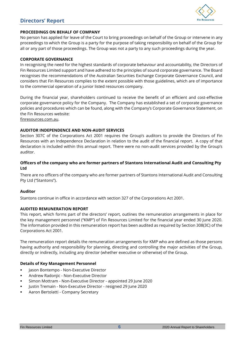# **Directors' Report**



## **PROCEEDINGS ON BEHALF OF COMPANY**

No person has applied for leave of the Court to bring proceedings on behalf of the Group or intervene in any proceedings to which the Group is a party for the purpose of taking responsibility on behalf of the Group for all or any part of those proceedings. The Group was not a party to any such proceedings during the year.

#### **CORPORATE GOVERNANCE**

In recognising the need for the highest standards of corporate behaviour and accountability, the Directors of Fin Resources Limited support and have adhered to the principles of sound corporate governance. The Board recognises the recommendations of the Australian Securities Exchange Corporate Governance Council, and considers that Fin Resources complies to the extent possible with those guidelines, which are of importance to the commercial operation of a junior listed resources company.

During the financial year, shareholders continued to receive the benefit of an efficient and cost-effective corporate governance policy for the Company. The Company has established a set of corporate governance policies and procedures which can be found, along with the Company's Corporate Governance Statement, on the Fin Resources website:

finresources.com.au.

#### **AUDITOR INDEPENDENCE AND NON-AUDIT SERVICES**

Section 307C of the Corporations Act 2001 requires the Group's auditors to provide the Directors of Fin Resources with an Independence Declaration in relation to the audit of the financial report. A copy of that declaration is included within this annual report. There were no non-audit services provided by the Group's auditor.

# **Officers of the company who are former partners of Stantons International Audit and Consulting Pty Ltd**

There are no officers of the company who are former partners of Stantons International Audit and Consulting Pty Ltd ("Stantons").

#### **Auditor**

Stantons continue in office in accordance with section 327 of the Corporations Act 2001.

# **AUDITED REMUNERATION REPORT**

This report, which forms part of the directors' report, outlines the remuneration arrangements in place for the key management personnel ("KMP") of Fin Resources Limited for the financial year ended 30 June 2020. The information provided in this remuneration report has been audited as required by Section 308(3C) of the Corporations Act 2001.

The remuneration report details the remuneration arrangements for KMP who are defined as those persons having authority and responsibility for planning, directing and controlling the major activities of the Group, directly or indirectly, including any director (whether executive or otherwise) of the Group.

# **Details of Key Management Personnel**

- Jason Bontempo Non-Executive Director
- Andrew Radonjic Non-Executive Director
- Simon Mottram Non-Executive Director appointed 29 June 2020
- Justin Tremain Non-Executive Director resigned 29 June 2020
- Aaron Bertolatti Company Secretary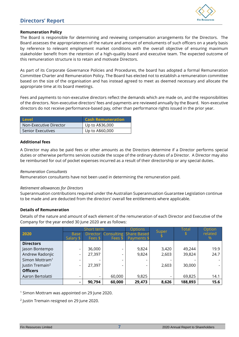

#### **Remuneration Policy**

The Board is responsible for determining and reviewing compensation arrangements for the Directors. The Board assesses the appropriateness of the nature and amount of emoluments of such officers on a yearly basis by reference to relevant employment market conditions with the overall objective of ensuring maximum stakeholder benefit from the retention of a high-quality board and executive team. The expected outcome of this remuneration structure is to retain and motivate Directors.

As part of its Corporate Governance Policies and Procedures, the board has adopted a formal Remuneration Committee Charter and Remuneration Policy. The Board has elected not to establish a remuneration committee based on the size of the organisation and has instead agreed to meet as deemed necessary and allocate the appropriate time at its board meetings.

Fees and payments to non-executive directors reflect the demands which are made on, and the responsibilities of the directors. Non‑executive directors' fees and payments are reviewed annually by the Board. Non‑executive directors do not receive performance-based pay, other than performance rights issued in the prior year.

| <b>Level</b>             | <b>Cash Remuneration</b> |
|--------------------------|--------------------------|
| Non-Executive Director   | Up to A\$36,000          |
| <b>Senior Executives</b> | Up to A\$60,000          |

#### **Additional fees**

A Director may also be paid fees or other amounts as the Directors determine if a Director performs special duties or otherwise performs services outside the scope of the ordinary duties of a Director. A Director may also be reimbursed for out of pocket expenses incurred as a result of their directorship or any special duties.

#### *Remuneration Consultants*

Remuneration consultants have not been used in determining the remuneration paid.

#### *Retirement allowances for Directors*

Superannuation contributions required under the Australian Superannuation Guarantee Legislation continue to be made and are deducted from the directors' overall fee entitlements where applicable.

# **Details of Remuneration**

Details of the nature and amount of each element of the remuneration of each Director and Executive of the Company for the year ended 30 June 2020 are as follows:

|                             | Short term               |                 |            | <b>Options</b>           | Super | <b>Total</b> | Option        |
|-----------------------------|--------------------------|-----------------|------------|--------------------------|-------|--------------|---------------|
| 2020                        | <b>Base</b>              | <b>Director</b> | Consulting | <b>Share Based</b>       |       |              | related       |
|                             | Salary \$                | Fees \$         | Fees \$    | Payments \$              |       |              | $\frac{9}{6}$ |
| <b>Directors</b>            |                          |                 |            |                          |       |              |               |
| Jason Bontempo              |                          | 36,000          |            | 9,824                    | 3,420 | 49,244       | 19.9          |
| Andrew Radonjic             | ٠                        | 27,397          |            | 9,824                    | 2,603 | 39,824       | 24.7          |
| Simon Mottram <sup>1</sup>  | $\overline{\phantom{0}}$ |                 |            |                          |       |              |               |
| Justin Tremain <sup>2</sup> |                          | 27,397          |            | $\overline{\phantom{0}}$ | 2,603 | 30,000       |               |
| <b>Officers</b>             |                          |                 |            |                          |       |              |               |
| Aaron Bertolatti            | -                        | -               | 60,000     | 9,825                    |       | 69,825       | 14.1          |
|                             |                          | 90,794          | 60,000     | 29,473                   | 8,626 | 188,893      | 15.6          |

<sup>1</sup> Simon Mottram was appointed on 29 June 2020.

2 Justin Tremain resigned on 29 June 2020.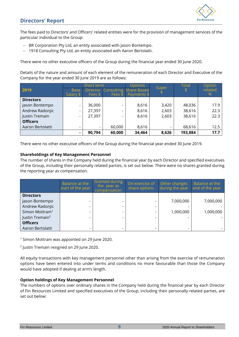The fees paid to Directors' and Officers' related entities were for the provision of management services of the particular individual to the Group:

- − BR Corporation Pty Ltd, an entity associated with Jason Bontempo.
- − 1918 Consulting Pty Ltd, an entity associated with Aaron Bertolatti.

There were no other executive officers of the Group during the financial year ended 30 June 2020.

Details of the nature and amount of each element of the remuneration of each Director and Executive of the Company for the year ended 30 June 2019 are as follows:

|                  | Short term  |                          |                   | <b>Options</b>     |                          | <b>Total</b> | Option  |
|------------------|-------------|--------------------------|-------------------|--------------------|--------------------------|--------------|---------|
| 2019             | <b>Base</b> | <b>Director</b>          | <b>Consulting</b> | <b>Share Based</b> | Super                    |              | related |
|                  | Salary \$   | Fees \$                  | Fees \$           | Payments \$        |                          |              | %       |
| <b>Directors</b> |             |                          |                   |                    |                          |              |         |
| Jason Bontempo   | Ξ.          | 36,000                   |                   | 8,616              | 3,420                    | 48,036       | 17.9    |
| Andrew Radonjic  | ۰           | 27,397                   | -                 | 8,616              | 2,603                    | 38,616       | 22.3    |
| Justin Tremain   | ۰           | 27,397                   |                   | 8,616              | 2,603                    | 38,616       | 22.3    |
| <b>Officers</b>  |             |                          |                   |                    |                          |              |         |
| Aaron Bertolatti | -           | $\overline{\phantom{a}}$ | 60,000            | 8,616              | $\overline{\phantom{0}}$ | 68,616       | 12.5    |
|                  | ۰.          | 90,794                   | 60,000            | 34,464             | 8,626                    | 193,884      | 17.7    |

There were no other executive officers of the Group during the financial year ended 30 June 2019.

# **Shareholdings of Key Management Personnel**

The number of shares in the Company held during the financial year by each Director and specified executives of the Group, including their personally related parties, is set out below. There were no shares granted during the reporting year as compensation.

|                             | Balance at the<br>start of the year | <b>Granted during</b><br>the year as<br>compensation | On exercise of<br>share options | Other changes<br>during the year | Balance at the<br>end of the year |
|-----------------------------|-------------------------------------|------------------------------------------------------|---------------------------------|----------------------------------|-----------------------------------|
| <b>Directors</b>            |                                     |                                                      |                                 |                                  |                                   |
| Jason Bontempo              |                                     |                                                      |                                 | 7,000,000                        | 7,000,000                         |
| Andrew Radonjic             |                                     |                                                      |                                 |                                  |                                   |
| Simon Mottram <sup>1</sup>  |                                     |                                                      |                                 | 1,000,000                        | 1,000,000                         |
| Justin Tremain <sup>2</sup> |                                     |                                                      |                                 |                                  |                                   |
| <b>Officers</b>             |                                     |                                                      |                                 |                                  |                                   |
| Aaron Bertolatti            |                                     |                                                      |                                 |                                  |                                   |

<sup>1</sup> Simon Mottram was appointed on 29 June 2020.

2 Justin Tremain resigned on 29 June 2020.

All equity transactions with key management personnel other than arising from the exercise of remuneration options have been entered into under terms and conditions no more favourable than those the Company would have adopted if dealing at arm's length.

# **Option holdings of Key Management Personnel**

The numbers of options over ordinary shares in the Company held during the financial year by each Director of Fin Resources Limited and specified executives of the Group, including their personally related parties, are set out below: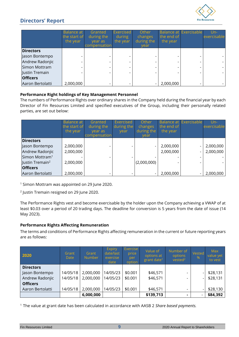

# **Directors' Report**

|                  | <b>Balance at</b><br>the start of<br>the year | Granted<br>during the<br>year as<br>compensation | Exercised<br>during<br>the year | Other<br>changes<br>during the<br>year | the end of<br>the year | <b>Balance at Exercisable</b> | $Un-$<br>exercisable |
|------------------|-----------------------------------------------|--------------------------------------------------|---------------------------------|----------------------------------------|------------------------|-------------------------------|----------------------|
| <b>Directors</b> |                                               |                                                  |                                 |                                        |                        |                               |                      |
| Jason Bontempo   |                                               |                                                  |                                 |                                        |                        |                               |                      |
| Andrew Radonjic  |                                               |                                                  |                                 |                                        |                        |                               |                      |
| Simon Mottram    |                                               | $\overline{\phantom{0}}$                         |                                 |                                        |                        |                               |                      |
| Justin Tremain   |                                               |                                                  |                                 |                                        |                        |                               |                      |
| <b>Officers</b>  |                                               |                                                  |                                 |                                        |                        |                               |                      |
| Aaron Bertolatti | 2,000,000                                     | $\overline{\phantom{a}}$                         |                                 | Ξ.                                     | 2,000,000              | $\overline{\phantom{0}}$      |                      |

# **Performance Right holdings of Key Management Personnel**

The numbers of Performance Rights over ordinary shares in the Company held during the financial year by each Director of Fin Resources Limited and specified executives of the Group, including their personally related parties, are set out below:

|                             | <b>Balance at</b><br>the start of<br>the year | Granted<br>during the<br>year as<br>compensation | Exercised<br>during the<br>year | Other<br>changes<br>during the<br>year | <b>Balance at</b><br>the end of<br>the year | Exercisable              | $Un-$<br>exercisable |
|-----------------------------|-----------------------------------------------|--------------------------------------------------|---------------------------------|----------------------------------------|---------------------------------------------|--------------------------|----------------------|
| <b>Directors</b>            |                                               |                                                  |                                 |                                        |                                             |                          |                      |
| Jason Bontempo              | 2,000,000                                     |                                                  |                                 |                                        | 2,000,000                                   | -                        | 2,000,000            |
| Andrew Radonjic             | 2,000,000                                     |                                                  |                                 |                                        | 2,000,000                                   | $\overline{\phantom{0}}$ | 2,000,000            |
| Simon Mottram <sup>1</sup>  |                                               |                                                  |                                 |                                        |                                             |                          |                      |
| Justin Tremain <sup>2</sup> | 2,000,000                                     |                                                  |                                 | (2,000,000)                            |                                             |                          |                      |
| <b>Officers</b>             |                                               |                                                  |                                 |                                        |                                             |                          |                      |
| Aaron Bertolatti            | 2,000,000                                     |                                                  |                                 |                                        | 2,000,000                                   |                          | 2,000,000            |

<sup>1</sup> Simon Mottram was appointed on 29 June 2020.

2 Justin Tremain resigned on 29 June 2020.

The Performance Rights vest and become exercisable by the holder upon the Company achieving a VWAP of at least \$0.03 over a period of 20 trading days. The deadline for conversion is 5 years from the date of issue (14 May 2023).

# **Performance Rights Affecting Remuneration**

The terms and conditions of Performance Rights affecting remuneration in the current or future reporting years are as follows:

| 2020             | Grant<br>Date | Grant<br><b>Number</b> | <b>Expiry</b><br>date/last<br>exercise<br>date | Exercise<br>price<br>per<br>option | Value of<br>options at<br>grant date <sup>1</sup> | Number of<br>options<br>vested <sup>2</sup> | Vested<br>% | <b>Max</b><br>value yet<br>to vest |
|------------------|---------------|------------------------|------------------------------------------------|------------------------------------|---------------------------------------------------|---------------------------------------------|-------------|------------------------------------|
| <b>Directors</b> |               |                        |                                                |                                    |                                                   |                                             |             |                                    |
| Jason Bontempo   | 14/05/18      | 2,000,000              | 14/05/23                                       | \$0.001                            | \$46,571                                          |                                             |             | \$28,131                           |
| Andrew Radonjic  | 14/05/18      | 2,000,000              | 14/05/23                                       | \$0.001                            | \$46,571                                          |                                             | -           | \$28,131                           |
| <b>Officers</b>  |               |                        |                                                |                                    |                                                   |                                             |             |                                    |
| Aaron Bertolatti | 14/05/18      | 2,000,000              | 14/05/23                                       | \$0.001                            | \$46,571                                          |                                             |             | \$28,130                           |
|                  |               | 6,000,000              |                                                |                                    | \$139,713                                         |                                             | -           | \$84,392                           |

<sup>1</sup> The value at grant date has been calculated in accordance with AASB 2 *Share based payments.*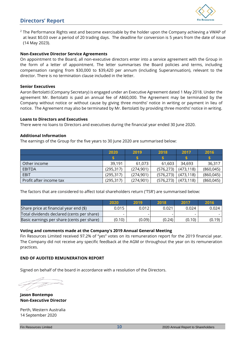# **Directors' Report**



<sup>2</sup> The Performance Rights vest and become exercisable by the holder upon the Company achieving a VWAP of at least \$0.03 over a period of 20 trading days. The deadline for conversion is 5 years from the date of issue (14 May 2023).

#### **Non-Executive Director Service Agreements**

On appointment to the Board, all non-executive directors enter into a service agreement with the Group in the form of a letter of appointment. The letter summarises the Board policies and terms, including compensation ranging from \$30,000 to \$39,420 per annum (including Superannuation), relevant to the director. There is no termination clause included in the letter.

#### **Senior Executives**

Aaron Bertolatti (Company Secretary) is engaged under an Executive Agreement dated 1 May 2018. Under the agreement Mr. Bertolatti is paid an annual fee of A\$60,000. The Agreement may be terminated by the Company without notice or without cause by giving three months' notice in writing or payment in lieu of notice. The Agreement may also be terminated by Mr. Bertolatti by providing three months' notice in writing.

#### **Loans to Directors and Executives**

There were no loans to Directors and executives during the financial year ended 30 June 2020.

#### **Additional Information**

The earnings of the Group for the five years to 30 June 2020 are summarised below:

|                         | 2020       | 2019       | 2018       | 2017       | 2016       |
|-------------------------|------------|------------|------------|------------|------------|
|                         |            |            |            |            |            |
| Other income            | 39,191     | 61.073     | 61,603     | 34,693     | 36,317     |
| <b>EBITDA</b>           | (295, 317) | (274, 901) | (576, 273) | (473, 118) | (860, 045) |
| EBIT                    | (295, 317) | (274, 901) | (576, 273) | (473, 118) | (860, 045) |
| Profit after income tax | (295, 317) | (274, 901) | (576, 273) | (473, 118) | (860, 045) |

The factors that are considered to affect total shareholders return ('TSR') are summarised below:

|                                            | 2020   | 2019   | 2018   | 2017   | 2016   |
|--------------------------------------------|--------|--------|--------|--------|--------|
| Share price at financial year end (\$)     | 0.015  | 0.012  | 0.021  | 0.024  | 0.024  |
| Total dividends declared (cents per share) |        |        |        |        |        |
| Basic earnings per share (cents per share) | (0.10) | (0.09) | (0.24) | (0.10) | (0.19) |

#### **Voting and comments made at the Company's 2019 Annual General Meeting**

Fin Resources Limited received 97.2% of "yes" votes on its remuneration report for the 2019 financial year. The Company did not receive any specific feedback at the AGM or throughout the year on its remuneration practices.

# **END OF AUDITED REMUNERATION REPORT**

Signed on behalf of the board in accordance with a resolution of the Directors.

**Jason Bontempo Non-Executive Director**

Perth, Western Australia 14 September 2020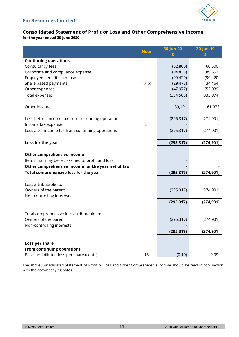

# **Consolidated Statement of Profit or Loss and Other Comprehensive Income**

**for the year ended 30 June 2020**

|                                                    | <b>Note</b> | 30-Jun-20  | 30-Jun-19  |
|----------------------------------------------------|-------------|------------|------------|
|                                                    |             |            |            |
| <b>Continuing operations</b>                       |             |            |            |
| Consultancy fees                                   |             | (62, 800)  | (60, 500)  |
| Corporate and compliance expense                   |             | (94, 838)  | (89, 551)  |
| Employee benefits expense                          |             | (99, 420)  | (99, 420)  |
| Share based payments                               | 17(b)       | (29, 473)  | (34, 464)  |
| Other expenses                                     |             | (47, 977)  | (52,039)   |
| <b>Total expenses</b>                              |             | (334, 508) | (335, 974) |
|                                                    |             |            |            |
| Other income                                       |             | 39,191     | 61,073     |
| Loss before income tax from continuing operations  |             | (295, 317) | (274, 901) |
| Income tax expense                                 | 3           |            |            |
| Loss after income tax from continuing operations   |             | (295, 317) | (274, 901) |
|                                                    |             |            |            |
| Loss for the year                                  |             | (295, 317) | (274, 901) |
|                                                    |             |            |            |
| Other comprehensive income                         |             |            |            |
| Items that may be reclassified to profit and loss  |             |            |            |
| Other comprehensive income for the year net of tax |             |            |            |
| Total comprehensive loss for the year              |             | (295, 317) | (274, 901) |
| Loss attributable to:                              |             |            |            |
| Owners of the parent                               |             | (295, 317) | (274, 901) |
| Non-controlling interests                          |             |            |            |
|                                                    |             | (295, 317) | (274, 901) |
|                                                    |             |            |            |
| Total comprehensive loss attributable to:          |             |            |            |
| Owners of the parent                               |             | (295, 317) | (274, 901) |
| Non-controlling interests                          |             |            |            |
|                                                    |             | (295, 317) | (274, 901) |
|                                                    |             |            |            |
| Loss per share                                     |             |            |            |
| <b>From continuing operations</b>                  |             |            |            |
| Basic and diluted loss per share (cents)           | 15          | (0.10)     | (0.09)     |

The above Consolidated Statement of Profit or Loss and Other Comprehensive Income should be read in conjunction with the accompanying notes.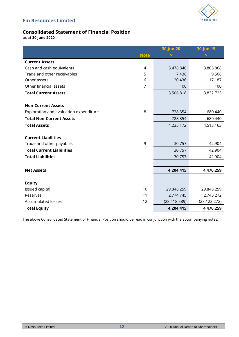

# **Consolidated Statement of Financial Position**

**as at 30 June 2020**

|                                        |                | 30-Jun-20      | 30-Jun-19      |
|----------------------------------------|----------------|----------------|----------------|
|                                        | <b>Note</b>    | \$             | \$             |
| <b>Current Assets</b>                  |                |                |                |
| Cash and cash equivalents              | $\overline{4}$ | 3,478,846      | 3,805,868      |
| Trade and other receivables            | 5              | 7,436          | 9,568          |
| Other assets                           | 6              | 20,436         | 17,187         |
| Other financial assets                 | $\overline{7}$ | 100            | 100            |
| <b>Total Current Assets</b>            |                | 3,506,818      | 3,832,723      |
| <b>Non-Current Assets</b>              |                |                |                |
| Exploration and evaluation expenditure | 8              | 728,354        | 680,440        |
| <b>Total Non-Current Assets</b>        |                | 728,354        | 680,440        |
| <b>Total Assets</b>                    |                | 4,235,172      | 4,513,163      |
|                                        |                |                |                |
| <b>Current Liabilities</b>             |                |                |                |
| Trade and other payables               | 9              | 30,757         | 42,904         |
| <b>Total Current Liabilities</b>       |                | 30,757         | 42,904         |
| <b>Total Liabilities</b>               |                | 30,757         | 42,904         |
|                                        |                |                |                |
| <b>Net Assets</b>                      |                | 4,204,415      | 4,470,259      |
|                                        |                |                |                |
| <b>Equity</b>                          |                |                |                |
| Issued capital                         | 10             | 29,848,259     | 29,848,259     |
| Reserves                               | 11             | 2,774,745      | 2,745,272      |
| <b>Accumulated losses</b>              | 12             | (28, 418, 589) | (28, 123, 272) |
| <b>Total Equity</b>                    |                | 4,204,415      | 4,470,259      |

The above Consolidated Statement of Financial Position should be read in conjunction with the accompanying notes.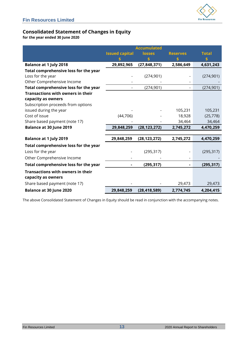

# **Consolidated Statement of Changes in Equity**

**for the year ended 30 June 2020**

|                                              |                       | <b>Accumulated</b> |                 |              |
|----------------------------------------------|-----------------------|--------------------|-----------------|--------------|
|                                              | <b>Issued capital</b> | <b>losses</b>      | <b>Reserves</b> | <b>Total</b> |
|                                              |                       |                    |                 | S            |
| <b>Balance at 1 July 2018</b>                | 29,892,965            | (27, 848, 371)     | 2,586,649       | 4,631,243    |
| Total comprehensive loss for the year        |                       |                    |                 |              |
| Loss for the year                            |                       | (274, 901)         |                 | (274, 901)   |
| Other Comprehensive Income                   |                       |                    |                 |              |
| Total comprehensive loss for the year        |                       | (274, 901)         |                 | (274, 901)   |
| <b>Transactions with owners in their</b>     |                       |                    |                 |              |
| capacity as owners                           |                       |                    |                 |              |
| Subscription proceeds from options           |                       |                    |                 |              |
| issued during the year                       |                       |                    | 105,231         | 105,231      |
| Cost of issue                                | (44, 706)             |                    | 18,928          | (25, 778)    |
| Share based payment (note 17)                |                       |                    | 34,464          | 34,464       |
| Balance at 30 June 2019                      | 29,848,259            | (28, 123, 272)     | 2,745,272       | 4,470,259    |
|                                              |                       |                    |                 |              |
| <b>Balance at 1 July 2019</b>                | 29,848,259            | (28, 123, 272)     | 2,745,272       | 4,470,259    |
| <b>Total comprehensive loss for the year</b> |                       |                    |                 |              |
| Loss for the year                            |                       | (295, 317)         |                 | (295, 317)   |
| Other Comprehensive Income                   |                       |                    |                 |              |
| Total comprehensive loss for the year        |                       | (295, 317)         | ۰               | (295, 317)   |
| <b>Transactions with owners in their</b>     |                       |                    |                 |              |
| capacity as owners                           |                       |                    |                 |              |
| Share based payment (note 17)                |                       |                    | 29,473          | 29,473       |
| <b>Balance at 30 June 2020</b>               | 29,848,259            | (28, 418, 589)     | 2,774,745       | 4,204,415    |

The above Consolidated Statement of Changes in Equity should be read in conjunction with the accompanying notes.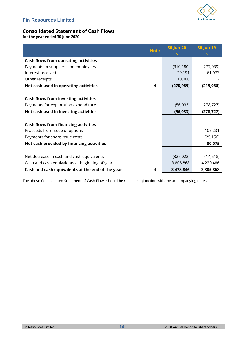

# **Consolidated Statement of Cash Flows**

**for the year ended 30 June 2020**

|                                                  |             | 30-Jun-20  | 30-Jun-19  |
|--------------------------------------------------|-------------|------------|------------|
|                                                  | <b>Note</b> |            |            |
| <b>Cash flows from operating activities</b>      |             |            |            |
| Payments to suppliers and employees              |             | (310, 180) | (277, 039) |
| Interest received                                |             | 29,191     | 61,073     |
| Other receipts                                   |             | 10,000     |            |
| Net cash used in operating activities            | 4           | (270, 989) | (215, 966) |
|                                                  |             |            |            |
| <b>Cash flows from investing activities</b>      |             |            |            |
| Payments for exploration expenditure             |             | (56, 033)  | (278, 727) |
| Net cash used in investing activities            |             | (56, 033)  | (278, 727) |
|                                                  |             |            |            |
| <b>Cash flows from financing activities</b>      |             |            |            |
| Proceeds from issue of options                   |             |            | 105,231    |
| Payments for share issue costs                   |             |            | (25,156)   |
| Net cash provided by financing activities        |             |            | 80,075     |
|                                                  |             |            |            |
| Net decrease in cash and cash equivalents        |             | (327, 022) | (414, 618) |
| Cash and cash equivalents at beginning of year   |             | 3,805,868  | 4,220,486  |
| Cash and cash equivalents at the end of the year | 4           | 3,478,846  | 3,805,868  |

The above Consolidated Statement of Cash Flows should be read in conjunction with the accompanying notes.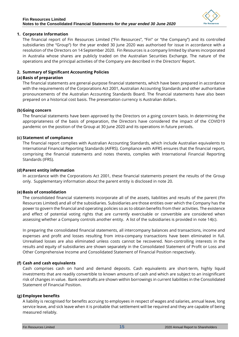

#### **1. Corporate Information**

The financial report of Fin Resources Limited ("Fin Resources", "Fin" or "the Company") and its controlled subsidiaries (the "Group") for the year ended 30 June 2020 was authorised for issue in accordance with a resolution of the Directors on 14 September 2020. Fin Resources is a company limited by shares incorporated in Australia whose shares are publicly traded on the Australian Securities Exchange. The nature of the operations and the principal activities of the Company are described in the Directors' Report.

#### **2. Summary of Significant Accounting Policies**

#### **(a)Basis of preparation**

The financial statements are general-purpose financial statements, which have been prepared in accordance with the requirements of the Corporations Act 2001, Australian Accounting Standards and other authoritative pronouncements of the Australian Accounting Standards Board. The financial statements have also been prepared on a historical cost basis. The presentation currency is Australian dollars.

#### **(b)Going concern**

The financial statements have been approved by the Directors on a going concern basis. In determining the appropriateness of the basis of preparation, the Directors have considered the impact of the COVID19 pandemic on the position of the Group at 30 June 2020 and its operations in future periods.

#### **(c) Statement of compliance**

The financial report complies with Australian Accounting Standards, which include Australian equivalents to International Financial Reporting Standards (AIFRS). Compliance with AIFRS ensures that the financial report, comprising the financial statements and notes thereto, complies with International Financial Reporting Standards (IFRS).

#### **(d)Parent entity information**

In accordance with the Corporations Act 2001, these financial statements present the results of the Group only. Supplementary information about the parent entity is disclosed in note 20.

#### **(e)Basis of consolidation**

The consolidated financial statements incorporate all of the assets, liabilities and results of the parent (Fin Resources Limited) and all of the subsidiaries. Subsidiaries are those entities over which the Company has the power to govern the financial and operating policies so as to obtain benefits from their activities. The existence and effect of potential voting rights that are currently exercisable or convertible are considered when assessing whether a Company controls another entity. A list of the subsidiaries is provided in note 14(c).

In preparing the consolidated financial statements, all intercompany balances and transactions, income and expenses and profit and losses resulting from intra-company transactions have been eliminated in full. Unrealised losses are also eliminated unless costs cannot be recovered. Non-controlling interests in the results and equity of subsidiaries are shown separately in the Consolidated Statement of Profit or Loss and Other Comprehensive Income and Consolidated Statement of Financial Position respectively.

#### **(f) Cash and cash equivalents**

Cash comprises cash on hand and demand deposits. Cash equivalents are short-term, highly liquid investments that are readily convertible to known amounts of cash and which are subject to an insignificant risk of changes in value. Bank overdrafts are shown within borrowings in current liabilities in the Consolidated Statement of Financial Position.

#### **(g) Employee benefits**

A liability is recognised for benefits accruing to employees in respect of wages and salaries, annual leave, long service leave, and sick leave when it is probable that settlement will be required and they are capable of being measured reliably.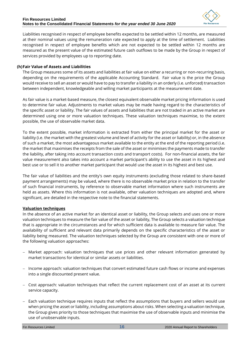

Liabilities recognised in respect of employee benefits expected to be settled within 12 months, are measured at their nominal values using the remuneration rate expected to apply at the time of settlement. Liabilities recognised in respect of employee benefits which are not expected to be settled within 12 months are measured as the present value of the estimated future cash outflows to be made by the Group in respect of services provided by employees up to reporting date.

# **(h)Fair Value of Assets and Liabilities**

The Group measures some of its assets and liabilities at fair value on either a recurring or non-recurring basis, depending on the requirements of the applicable Accounting Standard. Fair value is the price the Group would receive to sell an asset or would have to pay to transfer a liability in an orderly (i.e. unforced) transaction between independent, knowledgeable and willing market participants at the measurement date.

As fair value is a market-based measure, the closest equivalent observable market pricing information is used to determine fair value. Adjustments to market values may be made having regard to the characteristics of the specific asset or liability. The fair values of assets and liabilities that are not traded in an active market are determined using one or more valuation techniques. These valuation techniques maximise, to the extent possible, the use of observable market data.

To the extent possible, market information is extracted from either the principal market for the asset or liability (i.e. the market with the greatest volume and level of activity for the asset or liability) or, in the absence of such a market, the most advantageous market available to the entity at the end of the reporting period (i.e. the market that maximises the receipts from the sale of the asset or minimises the payments made to transfer the liability, after taking into account transaction costs and transport costs). For non-financial assets, the fair value measurement also takes into account a market participant's ability to use the asset in its highest and best use or to sell it to another market participant that would use the asset in its highest and best use.

The fair value of liabilities and the entity's own equity instruments (excluding those related to share-based payment arrangements) may be valued, where there is no observable market price in relation to the transfer of such financial instruments, by reference to observable market information where such instruments are held as assets. Where this information is not available, other valuation techniques are adopted and, where significant, are detailed in the respective note to the financial statements.

# **Valuation techniques**

In the absence of an active market for an identical asset or liability, the Group selects and uses one or more valuation techniques to measure the fair value of the asset or liability, The Group selects a valuation technique that is appropriate in the circumstances and for which sufficient data is available to measure fair value. The availability of sufficient and relevant data primarily depends on the specific characteristics of the asset or liability being measured. The valuation techniques selected by the Group are consistent with one or more of the following valuation approaches:

- − Market approach: valuation techniques that use prices and other relevant information generated by market transactions for identical or similar assets or liabilities.
- − Income approach: valuation techniques that convert estimated future cash flows or income and expenses into a single discounted present value.
- − Cost approach: valuation techniques that reflect the current replacement cost of an asset at its current service capacity.
- − Each valuation technique requires inputs that reflect the assumptions that buyers and sellers would use when pricing the asset or liability, including assumptions about risks. When selecting a valuation technique, the Group gives priority to those techniques that maximise the use of observable inputs and minimise the use of unobservable inputs.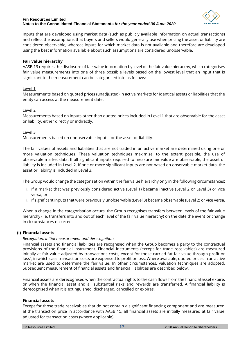

Inputs that are developed using market data (such as publicly available information on actual transactions) and reflect the assumptions that buyers and sellers would generally use when pricing the asset or liability are considered observable, whereas inputs for which market data is not available and therefore are developed using the best information available about such assumptions are considered unobservable.

# **Fair value hierarchy**

AASB 13 requires the disclosure of fair value information by level of the fair value hierarchy, which categorises fair value measurements into one of three possible levels based on the lowest level that an input that is significant to the measurement can be categorised into as follows:

# Level 1

Measurements based on quoted prices (unadjusted) in active markets for identical assets or liabilities that the entity can access at the measurement date.

#### Level 2

Measurements based on inputs other than quoted prices included in Level 1 that are observable for the asset or liability, either directly or indirectly.

#### Level 3

Measurements based on unobservable inputs for the asset or liability.

The fair values of assets and liabilities that are not traded in an active market are determined using one or more valuation techniques. These valuation techniques maximise, to the extent possible, the use of observable market data. If all significant inputs required to measure fair value are observable, the asset or liability is included in Level 2. If one or more significant inputs are not based on observable market data, the asset or liability is included in Level 3.

The Group would change the categorisation within the fair value hierarchy only in the following circumstances:

- i. if a market that was previously considered active (Level 1) became inactive (Level 2 or Level 3) or vice versa; or
- ii. if significant inputs that were previously unobservable (Level 3) became observable (Level 2) or vice versa.

When a change in the categorisation occurs, the Group recognises transfers between levels of the fair value hierarchy (i.e. transfers into and out of each level of the fair value hierarchy) on the date the event or change in circumstances occurred.

# **(i) Financial assets**

# *Recognition, initial measurement and derecognition*

Financial assets and financial liabilities are recognised when the Group becomes a party to the contractual provisions of the financial instrument. Financial instruments (except for trade receivables) are measured initially at fair value adjusted by transactions costs, except for those carried "at fair value through profit or loss", in which case transaction costs are expensed to profit or loss. Where available, quoted prices in an active market are used to determine the fair value. In other circumstances, valuation techniques are adopted. Subsequent measurement of financial assets and financial liabilities are described below.

Financial assets are derecognised when the contractual rights to the cash flows from the financial asset expire, or when the financial asset and all substantial risks and rewards are transferred. A financial liability is derecognised when it is extinguished, discharged, cancelled or expires.

# **Financial assets**

Except for those trade receivables that do not contain a significant financing component and are measured at the transaction price in accordance with AASB 15, all financial assets are initially measured at fair value adjusted for transaction costs (where applicable).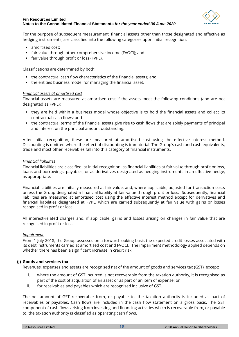

For the purpose of subsequent measurement, financial assets other than those designated and effective as hedging instruments, are classified into the following categories upon initial recognition:

- amortised cost:
- fair value through other comprehensive income (FVOCI); and
- fair value through profit or loss (FVPL).

Classifications are determined by both:

- the contractual cash flow characteristics of the financial assets: and
- the entities business model for managing the financial asset.

#### *Financial assets at amortised cost*

Financial assets are measured at amortised cost if the assets meet the following conditions (and are not designated as FVPL):

- they are held within a business model whose objective is to hold the financial assets and collect its contractual cash flows; and
- the contractual terms of the financial assets give rise to cash flows that are solely payments of principal and interest on the principal amount outstanding.

After initial recognition, these are measured at amortised cost using the effective interest method. Discounting is omitted where the effect of discounting is immaterial. The Group's cash and cash equivalents, trade and most other receivables fall into this category of financial instruments.

#### *Financial liabilities*

Financial liabilities are classified, at initial recognition, as financial liabilities at fair value through profit or loss, loans and borrowings, payables, or as derivatives designated as hedging instruments in an effective hedge, as appropriate.

Financial liabilities are initially measured at fair value, and, where applicable, adjusted for transaction costs unless the Group designated a financial liability at fair value through profit or loss. Subsequently, financial liabilities are measured at amortised cost using the effective interest method except for derivatives and financial liabilities designated at FVPL, which are carried subsequently at fair value with gains or losses recognised in profit or loss.

All interest-related charges and, if applicable, gains and losses arising on changes in fair value that are recognised in profit or loss.

#### *Impairment*

From 1 July 2018, the Group assesses on a forward-looking basis the expected credit losses associated with its debt instruments carried at amortised cost and FVOCI. The impairment methodology applied depends on whether there has been a significant increase in credit risk.

#### **(j) Goods and services tax**

Revenues, expenses and assets are recognised net of the amount of goods and services tax (GST), except:

- i. where the amount of GST incurred is not recoverable from the taxation authority, it is recognised as part of the cost of acquisition of an asset or as part of an item of expense; or
- ii. for receivables and payables which are recognised inclusive of GST.

The net amount of GST recoverable from, or payable to, the taxation authority is included as part of receivables or payables. Cash flows are included in the cash flow statement on a gross basis. The GST component of cash flows arising from investing and financing activities which is recoverable from, or payable to, the taxation authority is classified as operating cash flows.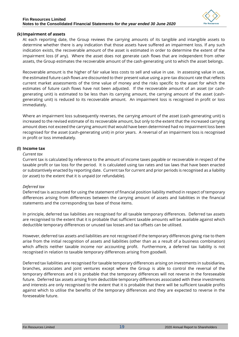

#### **(k)Impairment of assets**

At each reporting date, the Group reviews the carrying amounts of its tangible and intangible assets to determine whether there is any indication that those assets have suffered an impairment loss. If any such indication exists, the recoverable amount of the asset is estimated in order to determine the extent of the impairment loss (if any). Where the asset does not generate cash flows that are independent from other assets, the Group estimates the recoverable amount of the cash-generating unit to which the asset belongs.

Recoverable amount is the higher of fair value less costs to sell and value in use. In assessing value in use, the estimated future cash flows are discounted to their present value using a pre-tax discount rate that reflects current market assessments of the time value of money and the risks specific to the asset for which the estimates of future cash flows have not been adjusted. If the recoverable amount of an asset (or cashgenerating unit) is estimated to be less than its carrying amount, the carrying amount of the asset (cashgenerating unit) is reduced to its recoverable amount. An impairment loss is recognised in profit or loss immediately.

Where an impairment loss subsequently reverses, the carrying amount of the asset (cash-generating unit) is increased to the revised estimate of its recoverable amount, but only to the extent that the increased carrying amount does not exceed the carrying amount that would have been determined had no impairment loss been recognised for the asset (cash-generating unit) in prior years. A reversal of an impairment loss is recognised in profit or loss immediately.

#### **(l) Income tax**

#### *Current tax*

Current tax is calculated by reference to the amount of income taxes payable or recoverable in respect of the taxable profit or tax loss for the period. It is calculated using tax rates and tax laws that have been enacted or substantively enacted by reporting date. Current tax for current and prior periods is recognised as a liability (or asset) to the extent that it is unpaid (or refundable).

#### *Deferred tax*

Deferred tax is accounted for using the statement of financial position liability method in respect of temporary differences arising from differences between the carrying amount of assets and liabilities in the financial statements and the corresponding tax base of those items.

In principle, deferred tax liabilities are recognised for all taxable temporary differences. Deferred tax assets are recognised to the extent that it is probable that sufficient taxable amounts will be available against which deductible temporary differences or unused tax losses and tax offsets can be utilised.

However, deferred tax assets and liabilities are not recognised if the temporary differences giving rise to them arise from the initial recognition of assets and liabilities (other than as a result of a business combination) which affects neither taxable income nor accounting profit. Furthermore, a deferred tax liability is not recognised in relation to taxable temporary differences arising from goodwill.

Deferred tax liabilities are recognised for taxable temporary differences arising on investments in subsidiaries, branches, associates and joint ventures except where the Group is able to control the reversal of the temporary differences and it is probable that the temporary differences will not reverse in the foreseeable future. Deferred tax assets arising from deductible temporary differences associated with these investments and interests are only recognised to the extent that it is probable that there will be sufficient taxable profits against which to utilise the benefits of the temporary differences and they are expected to reverse in the foreseeable future.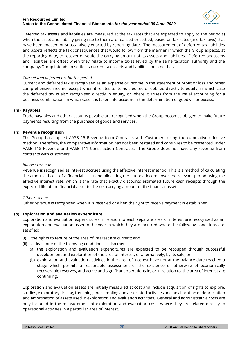

Deferred tax assets and liabilities are measured at the tax rates that are expected to apply to the period(s) when the asset and liability giving rise to them are realised or settled, based on tax rates (and tax laws) that have been enacted or substantively enacted by reporting date. The measurement of deferred tax liabilities and assets reflects the tax consequences that would follow from the manner in which the Group expects, at the reporting date, to recover or settle the carrying amount of its assets and liabilities. Deferred tax assets and liabilities are offset when they relate to income taxes levied by the same taxation authority and the company/Group intends to settle its current tax assets and liabilities on a net basis.

# *Current and deferred tax for the period*

Current and deferred tax is recognised as an expense or income in the statement of profit or loss and other comprehensive income, except when it relates to items credited or debited directly to equity, in which case the deferred tax is also recognised directly in equity, or where it arises from the initial accounting for a business combination, in which case it is taken into account in the determination of goodwill or excess.

#### **(m) Payables**

Trade payables and other accounts payable are recognised when the Group becomes obliged to make future payments resulting from the purchase of goods and services.

#### **(n) Revenue recognition**

The Group has applied AASB 15 Revenue from Contracts with Customers using the cumulative effective method. Therefore, the comparative information has not been restated and continues to be presented under AASB 118 Revenue and AASB 111 Construction Contracts. The Group does not have any revenue from contracts with customers.

#### *Interest revenue*

Revenue is recognised as interest accrues using the effective interest method. This is a method of calculating the amortised cost of a financial asset and allocating the interest income over the relevant period using the effective interest rate, which is the rate that exactly discounts estimated future cash receipts through the expected life of the financial asset to the net carrying amount of the financial asset.

#### *Other revenue*

Other revenue is recognised when it is received or when the right to receive payment is established.

#### **(o) Exploration and evaluation expenditure**

Exploration and evaluation expenditures in relation to each separate area of interest are recognised as an exploration and evaluation asset in the year in which they are incurred where the following conditions are satisfied:

- (i) the rights to tenure of the area of interest are current; and
- (ii) at least one of the following conditions is also met:
	- (a) the exploration and evaluation expenditures are expected to be recouped through successful development and exploration of the area of interest, or alternatively, by its sale; or
	- (b) exploration and evaluation activities in the area of interest have not at the balance date reached a stage which permits a reasonable assessment of the existence or otherwise of economically recoverable reserves, and active and significant operations in, or in relation to, the area of interest are continuing.

Exploration and evaluation assets are initially measured at cost and include acquisition of rights to explore, studies, exploratory drilling, trenching and sampling and associated activities and an allocation of depreciation and amortisation of assets used in exploration and evaluation activities. General and administrative costs are only included in the measurement of exploration and evaluation costs where they are related directly to operational activities in a particular area of interest.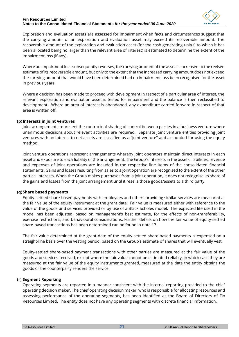

Exploration and evaluation assets are assessed for impairment when facts and circumstances suggest that the carrying amount of an exploration and evaluation asset may exceed its recoverable amount. The recoverable amount of the exploration and evaluation asset (for the cash generating unit(s) to which it has been allocated being no larger than the relevant area of interest) is estimated to determine the extent of the impairment loss (if any).

Where an impairment loss subsequently reverses, the carrying amount of the asset is increased to the revised estimate of its recoverable amount, but only to the extent that the increased carrying amount does not exceed the carrying amount that would have been determined had no impairment loss been recognised for the asset in previous years.

Where a decision has been made to proceed with development in respect of a particular area of interest, the relevant exploration and evaluation asset is tested for impairment and the balance is then reclassified to development. Where an area of interest is abandoned, any expenditure carried forward in respect of that area is written off.

#### **(p)Interests in joint ventures**

Joint arrangements represent the contractual sharing of control between parties in a business venture where unanimous decisions about relevant activities are required. Separate joint venture entities providing joint ventures with an interest to net assets are classified as a "joint venture" and accounted for using the equity method.

Joint venture operations represent arrangements whereby joint operators maintain direct interests in each asset and exposure to each liability of the arrangement. The Group's interests in the assets, liabilities, revenue and expenses of joint operations are included in the respective line items of the consolidated financial statements. Gains and losses resulting from sales to a joint operation are recognised to the extent of the other parties' interests. When the Group makes purchases from a joint operation, it does not recognise its share of the gains and losses from the joint arrangement until it resells those goods/assets to a third party.

# **(q)Share based payments**

Equity-settled share-based payments with employees and others providing similar services are measured at the fair value of the equity instrument at the grant date. Fair value is measured either with reference to the value of the goods and services provided or by use of a Black Scholes model. The expected life used in the model has been adjusted, based on management's best estimate, for the effects of non-transferability, exercise restrictions, and behavioural considerations. Further details on how the fair value of equity-settled share-based transactions has been determined can be found in note 17.

The fair value determined at the grant date of the equity-settled share-based payments is expensed on a straight-line basis over the vesting period, based on the Group's estimate of shares that will eventually vest.

Equity-settled share-based payment transactions with other parties are measured at the fair value of the goods and services received, except where the fair value cannot be estimated reliably, in which case they are measured at the fair value of the equity instruments granted, measured at the date the entity obtains the goods or the counterparty renders the service.

#### **(r) Segment Reporting**

Operating segments are reported in a manner consistent with the internal reporting provided to the chief operating decision maker. The chief operating decision maker, who is responsible for allocating resources and assessing performance of the operating segments, has been identified as the Board of Directors of Fin Resources Limited. The entity does not have any operating segments with discrete financial information.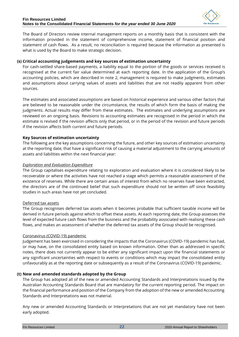

The Board of Directors review internal management reports on a monthly basis that is consistent with the information provided in the statement of comprehensive income, statement of financial position and statement of cash flows. As a result, no reconciliation is required because the information as presented is what is used by the Board to make strategic decision.

## **(s) Critical accounting judgements and key sources of estimation uncertainty**

For cash-settled share-based payments, a liability equal to the portion of the goods or services received is recognised at the current fair value determined at each reporting date. In the application of the Group's accounting policies, which are described in note 2, management is required to make judgments, estimates and assumptions about carrying values of assets and liabilities that are not readily apparent from other sources.

The estimates and associated assumptions are based on historical experience and various other factors that are believed to be reasonable under the circumstance, the results of which form the basis of making the judgments. Actual results may differ from these estimates. The estimates and underlying assumptions are reviewed on an ongoing basis. Revisions to accounting estimates are recognised in the period in which the estimate is revised if the revision affects only that period, or in the period of the revision and future periods if the revision affects both current and future periods.

#### **Key Sources of estimation uncertainty**

The following are the key assumptions concerning the future, and other key sources of estimation uncertainty at the reporting date, that have a significant risk of causing a material adjustment to the carrying amounts of assets and liabilities within the next financial year:

#### *Exploration and Evaluation Expenditure*

The Group capitalises expenditure relating to exploration and evaluation where it is considered likely to be recoverable or where the activities have not reached a stage which permits a reasonable assessment of the existence of reserves. While there are certain areas of interest from which no reserves have been extracted, the directors are of the continued belief that such expenditure should not be written off since feasibility studies in such areas have not yet concluded.

#### Deferred tax assets

The Group recognises deferred tax assets when it becomes probable that sufficient taxable income will be derived in future periods against which to offset these assets. At each reporting date, the Group assesses the level of expected future cash flows from the business and the probability associated with realising these cash flows, and makes an assessment of whether the deferred tax assets of the Group should be recognised.

#### Coronavirus (COVID-19) pandemic

Judgement has been exercised in considering the impacts that the Coronavirus (COVID-19) pandemic has had, or may have, on the consolidated entity based on known information. Other than as addressed in specific notes, there does not currently appear to be either any significant impact upon the financial statements or any significant uncertainties with respect to events or conditions which may impact the consolidated entity unfavourably as at the reporting date or subsequently as a result of the Coronavirus (COVID-19) pandemic.

# **(t) New and amended standards adopted by the Group**

The Group has adopted all of the new or amended Accounting Standards and Interpretations issued by the Australian Accounting Standards Board that are mandatory for the current reporting period. The impact on the financial performance and position of the Company from the adoption of the new or amended Accounting Standards and Interpretations was not material.

Any new or amended Accounting Standards or Interpretations that are not yet mandatory have not been early adopted.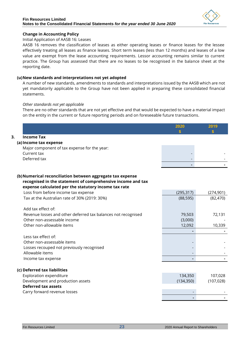

#### **Change in Accounting Policy**

#### Initial Application of AASB 16: Leases

AASB 16 removes the classification of leases as either operating leases or finance leases for the lessee effectively treating all leases as finance leases. Short term leases (less than 12 months) and leases of a low value are exempt from the lease accounting requirements. Lessor accounting remains similar to current practice. The Group has assessed that there are no leases to be recognised in the balance sheet at the reporting date.

## **(u)New standards and interpretations not yet adopted**

A number of new standards, amendments to standards and interpretations issued by the AASB which are not yet mandatorily applicable to the Group have not been applied in preparing these consolidated financial statements.

#### *Other standards not yet applicable*

There are no other standards that are not yet effective and that would be expected to have a material impact on the entity in the current or future reporting periods and on foreseeable future transactions.

|                                                                                                                                                                                   | 2020                        | 2019                  |
|-----------------------------------------------------------------------------------------------------------------------------------------------------------------------------------|-----------------------------|-----------------------|
| 3.<br><b>Income Tax</b>                                                                                                                                                           |                             |                       |
| (a) Income tax expense                                                                                                                                                            |                             |                       |
| Major component of tax expense for the year:                                                                                                                                      |                             |                       |
| Current tax                                                                                                                                                                       |                             |                       |
| Deferred tax                                                                                                                                                                      |                             |                       |
|                                                                                                                                                                                   |                             |                       |
| (b) Numerical reconciliation between aggregate tax expense<br>recognised in the statement of comprehensive income and tax<br>expense calculated per the statutory income tax rate |                             |                       |
| Loss from before income tax expense                                                                                                                                               | (295, 317)                  | (274,901)             |
| Tax at the Australian rate of 30% (2019: 30%)                                                                                                                                     | (88, 595)                   | (82, 470)             |
| Add tax effect of:<br>Revenue losses and other deferred tax balances not recognised<br>Other non-assessable income<br>Other non-allowable items                                   | 79,503<br>(3,000)<br>12,092 | 72,131<br>10,339      |
| Less tax effect of:                                                                                                                                                               |                             |                       |
| Other non-assessable items                                                                                                                                                        |                             |                       |
| Losses recouped not previously recognised                                                                                                                                         |                             |                       |
| Allowable items                                                                                                                                                                   |                             |                       |
| Income tax expense                                                                                                                                                                |                             |                       |
| (c) Deferred tax liabilities<br><b>Exploration expenditure</b><br>Development and production assets<br><b>Deferred tax assets</b>                                                 | 134,350<br>(134, 350)       | 107,028<br>(107, 028) |
| Carry forward revenue losses                                                                                                                                                      |                             |                       |
|                                                                                                                                                                                   |                             |                       |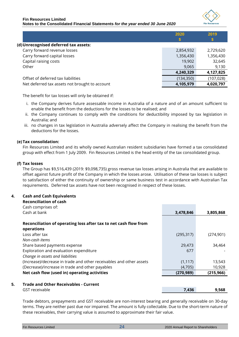

|                                                | 2020       | 2019       |
|------------------------------------------------|------------|------------|
|                                                |            |            |
| (d) Unrecognised deferred tax assets:          |            |            |
| Carry forward revenue losses                   | 2,854,932  | 2,729,620  |
| Carry forward capital losses                   | 1,356,430  | 1,356,430  |
| Capital raising costs                          | 19,902     | 32,645     |
| Other                                          | 9,065      | 9,130      |
|                                                | 4,240,329  | 4,127,825  |
| Offset of deferred tax liabilities             | (134, 350) | (107, 028) |
| Net deferred tax assets not brought to account | 4,105,979  | 4,020,797  |

The benefit for tax losses will only be obtained if:

- i. the Company derives future assessable income in Australia of a nature and of an amount sufficient to enable the benefit from the deductions for the losses to be realised; and
- ii. the Company continues to comply with the conditions for deductibility imposed by tax legislation in Australia; and
- iii. no changes in tax legislation in Australia adversely affect the Company in realising the benefit from the deductions for the losses.

#### **(e) Tax consolidation:**

Fin Resources Limited and its wholly owned Australian resident subsidiaries have formed a tax consolidated group with effect from 1 July 2009. Fin Resources Limited is the head entity of the tax consolidated group.

#### **(f) Tax losses**

The Group has \$9,516,439 (2019: \$9,098,735) gross revenue tax losses arising in Australia that are available to offset against future profit of the Company in which the losses arose. Utilisation of these tax losses is subject to satisfaction of either the continuity of ownership or same business test in accordance with Australian Tax requirements. Deferred tax assets have not been recognised in respect of these losses.

# **4. Cash and Cash Equivalents**

| <b>Reconciliation of cash</b>                                       |            |            |
|---------------------------------------------------------------------|------------|------------|
| Cash comprises of:                                                  |            |            |
| Cash at bank                                                        | 3,478,846  | 3,805,868  |
| Reconciliation of operating loss after tax to net cash flow from    |            |            |
| operations                                                          |            |            |
| Loss after tax                                                      | (295, 317) | (274, 901) |
| Non-cash items                                                      |            |            |
| Share based payments expense                                        | 29,473     | 34,464     |
| Exploration and evaluation expenditure                              | 677        |            |
| Change in assets and liabilities                                    |            |            |
| (Increase)/decrease in trade and other receivables and other assets | (1, 117)   | 13,543     |
| (Decrease)/increase in trade and other payables                     | (4,705)    | 10,928     |
| Net cash flow (used in) operating activities                        | (270, 989) | (215, 966) |

| <b>Trade and Other Receivables - Current</b><br>5. |
|----------------------------------------------------|
|                                                    |

Trade debtors, prepayments and GST receivable are non-interest bearing and generally receivable on 30-day terms. They are neither past due nor impaired. The amount is fully collectable. Due to the short-term nature of these receivables, their carrying value is assumed to approximate their fair value.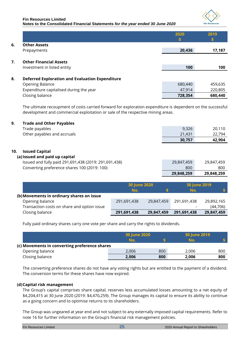

|    |                                                        | 2020    | 2019    |
|----|--------------------------------------------------------|---------|---------|
|    |                                                        |         | S       |
| 6. | <b>Other Assets</b>                                    |         |         |
|    | Prepayments                                            | 20,436  | 17,187  |
|    |                                                        |         |         |
| 7. | <b>Other Financial Assets</b>                          |         |         |
|    | Investment in listed entity                            | 100     | 100     |
|    |                                                        |         |         |
| 8. | <b>Deferred Exploration and Evaluation Expenditure</b> |         |         |
|    | Opening Balance                                        | 680,440 | 459,635 |
|    | Expenditure capitalised during the year                | 47,914  | 220,805 |
|    | Closing balance                                        | 728,354 | 680,440 |

The ultimate recoupment of costs carried forward for exploration expenditure is dependent on the successful development and commercial exploitation or sale of the respective mining areas.

#### **9. Trade and Other Payables**

|                             | 30,757 | 42,904 |
|-----------------------------|--------|--------|
| Other payables and accruals | 21,431 | 22.794 |
| Trade payables              | 9,326  | 20,110 |
|                             |        |        |

# **10. Issued Capital**

#### **(a)Issued and paid up capital**

|                                                       | 29,848,259 | 29,848,259 |
|-------------------------------------------------------|------------|------------|
| Converting preference shares 100 (2019: 100)          | 800        | 800        |
| Issued and fully paid 291,691,438 (2019: 291,691,438) | 29,847,459 | 29,847,459 |

|                                             | 30 June 2020 |            | 30 June 2019             |            |
|---------------------------------------------|--------------|------------|--------------------------|------------|
|                                             | No.          |            | No.                      |            |
| (b) Movements in ordinary shares on issue   |              |            |                          |            |
| Opening balance                             | 291,691,438  | 29,847,459 | 291,691,438              | 29,892,165 |
| Transaction costs on share and option issue |              |            | $\overline{\phantom{a}}$ | (44, 706)  |
| Closing balance                             | 291,691,438  | 29,847,459 | 291,691,438              | 29,847,459 |

Fully paid ordinary shares carry one vote per share and carry the rights to dividends.

|                                               | 30 June 2020 |     | 30 June 2019 |     |
|-----------------------------------------------|--------------|-----|--------------|-----|
|                                               | No.          |     | No.          |     |
| (c) Movements in converting preference shares |              |     |              |     |
| Opening balance                               | 2.006        | 800 | 2.006        | 800 |
| Closing balance                               | 2,006        | 800 | 2.006        | 800 |

The converting preference shares do not have any voting rights but are entitled to the payment of a dividend. The conversion terms for these shares have now expired.

#### **(d)Capital risk management**

The Group's capital comprises share capital, reserves less accumulated losses amounting to a net equity of \$4,204,415 at 30 June 2020 (2019: \$4,470,259). The Group manages its capital to ensure its ability to continue as a going concern and to optimise returns to its shareholders.

The Group was ungeared at year end and not subject to any externally imposed capital requirements. Refer to note 16 for further information on the Group's financial risk management policies.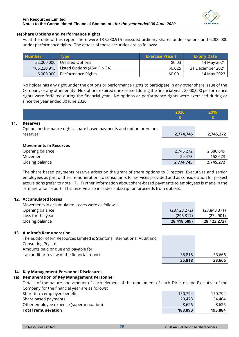

#### **(e) Share Options and Performance Rights**

As at the date of this report there were 137,230,915 unissued ordinary shares under options and 6,000,000 under performance rights. The details of these securities are as follows:

| <b>Number</b> | <b>Type</b>                    | <b>Exercise Price \$</b> | <b>Expiry Date</b> |
|---------------|--------------------------------|--------------------------|--------------------|
|               | 32,000,000   Unlisted Options  | \$0.03                   | 14 May 2021        |
| 105,230,915   | Listed Options (ASX: FINOA)    | \$0.025                  | 31 December 2021   |
|               | 6,000,000   Performance Rights | \$0.001                  | 14 May 2023        |

No holder has any right under the options or performance rights to participate in any other share issue of the Company or any other entity. No options expired unexercised during the financial year. 2,000,000 performance rights were forfeited during the financial year. No options or performance rights were exercised during or since the year ended 30 June 2020.

|                                                                     | 2020      | 2019      |
|---------------------------------------------------------------------|-----------|-----------|
| <b>Reserves</b>                                                     |           |           |
| Option, performance rights, share based payments and option premium |           |           |
| reserves                                                            | 2,774,745 | 2,745,272 |
| <b>Movements in Reserves</b>                                        |           |           |
| Opening balance                                                     | 2,745,272 | 2,586,649 |
| Movement                                                            | 29,473    | 158,623   |
| Closing balance                                                     | 2,774,745 | 2,745,272 |

The share based payments reserve arises on the grant of share options to Directors, Executives and senior employees as part of their remuneration, to consultants for services provided and as consideration for project acquisitions (refer to note 17). Further information about share-based payments to employees is made in the remuneration report. This reserve also includes subscription proceeds from options.

#### **12. Accumulated losses**

| Movements in accumulated losses were as follows:                         |                |                |
|--------------------------------------------------------------------------|----------------|----------------|
| Opening balance                                                          | (28, 123, 272) | (27, 848, 371) |
| Loss for the year                                                        | (295, 317)     | (274,901)      |
| Closing balance                                                          | (28, 418, 589) | (28, 123, 272) |
|                                                                          |                |                |
| 13. Auditor's Remuneration                                               |                |                |
| The auditor of Fin Resources Limited is Stantons International Audit and |                |                |
| Consulting Pty Ltd                                                       |                |                |
| Amounts paid or due and payable for:                                     |                |                |
| - an audit or review of the financial report                             | 35,818         | 33,666         |
|                                                                          | 35,818         | 33,666         |

#### **14. Key Management Personnel Disclosures**

#### **(a) Remuneration of Key Management Personnel**

Details of the nature and amount of each element of the emolument of each Director and Executive of the Company for the financial year are as follows: Short term employee benefits **150,794** 150,794 150,794 Share based payments 29,473 34,464 Other employee expense (superannuation) 8,626 8,626 8,626

#### **Total remuneration**

| 188,893 | 193,88 |
|---------|--------|
|         |        |
|         |        |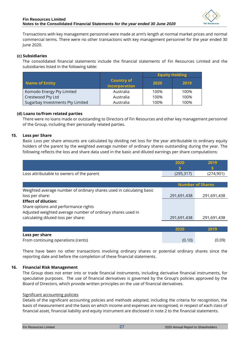

Transactions with key management personnel were made at arm's length at normal market prices and normal commercial terms. There were no other transactions with key management personnel for the year ended 30 June 2020.

## **(c) Subsidiaries**

The consolidated financial statements include the financial statements of Fin Resources Limited and the subsidiaries listed in the following table:

|                                  |                                           | <b>Equity Holding</b> |      |
|----------------------------------|-------------------------------------------|-----------------------|------|
| <b>Name of Entity</b>            | <b>Country of</b><br><b>Incorporation</b> | 2020                  | 2019 |
| Komodo Energy Pty Limited        | Australia                                 | 100%                  | 100% |
| Crestwood Pty Ltd                | Australia                                 | 100%                  | 100% |
| Sugarbay Investments Pty Limited | Australia                                 | 100%                  | 100% |

# **(d) Loans to/from related parties**

There were no loans made or outstanding to Directors of Fin Resources and other key management personnel of the Group, including their personally related parties.

#### **15. Loss per Share**

Basic Loss per share amounts are calculated by dividing net loss for the year attributable to ordinary equity holders of the parent by the weighted average number of ordinary shares outstanding during the year. The following reflects the loss and share data used in the basic and diluted earnings per share computations:

|                                           | 2020       | 2019                    |
|-------------------------------------------|------------|-------------------------|
|                                           |            |                         |
| Loss attributable to owners of the parent | (295, 317) | (274.901                |
|                                           |            |                         |
|                                           |            | <b>Number of Shares</b> |

|                                                                      | <b>Number of Shares</b> |             |
|----------------------------------------------------------------------|-------------------------|-------------|
| Weighted average number of ordinary shares used in calculating basic |                         |             |
| loss per share:                                                      | 291,691,438             | 291,691,438 |
| <b>Effect of dilution:</b>                                           |                         |             |
| Share options and performance rights                                 |                         |             |
| Adjusted weighted average number of ordinary shares used in          |                         |             |
| calculating diluted loss per share:                                  | 291,691,438             | 291,691,438 |
|                                                                      |                         |             |

|                                    | 2020   | 2019   |
|------------------------------------|--------|--------|
| Loss per share                     |        |        |
| From continuing operations (cents) | (0.10) | (0.09) |

There have been no other transactions involving ordinary shares or potential ordinary shares since the reporting date and before the completion of these financial statements.

# **16. Financial Risk Management**

The Group does not enter into or trade financial instruments, including derivative financial instruments, for speculative purposes. The use of financial derivatives is governed by the Group's policies approved by the Board of Directors, which provide written principles on the use of financial derivatives.

#### Significant accounting policies

Details of the significant accounting policies and methods adopted, including the criteria for recognition, the basis of measurement and the basis on which income and expenses are recognised, in respect of each class of financial asset, financial liability and equity instrument are disclosed in note 2 to the financial statements.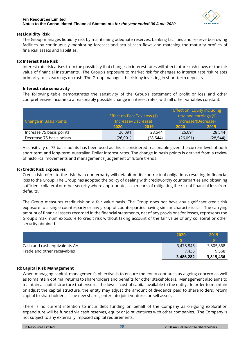

## **(a) Liquidity Risk**

The Group manages liquidity risk by maintaining adequate reserves, banking facilities and reserve borrowing facilities by continuously monitoring forecast and actual cash flows and matching the maturity profiles of financial assets and liabilities.

#### **(b)Interest Rate Risk**

Interest rate risk arises from the possibility that changes in interest rates will affect future cash flows or the fair value of financial instruments. The Group's exposure to market risk for changes to interest rate risk relates primarily to its earnings on cash. The Group manages the risk by investing in short term deposits.

#### **Interest rate sensitivity**

The following table demonstrates the sensitivity of the Group's statement of profit or loss and other comprehensive income to a reasonably possible change in interest rates, with all other variables constant.

| <b>Change in Basis Points</b> | Effect on Post Tax Loss (\$)<br>Increase/(Decrease) |           | Effect on Equity including<br>retained earnings (\$)<br>Increase/(Decrease) |           |
|-------------------------------|-----------------------------------------------------|-----------|-----------------------------------------------------------------------------|-----------|
|                               | 2020                                                | 2019      | 2020                                                                        | 2019      |
| Increase 75 basis points      | 26.091                                              | 28,544    | 26,091                                                                      | 28,544    |
| Decrease 75 basis points      | (26,091)                                            | (28, 544) | (26,091)                                                                    | (28, 544) |

A sensitivity of 75 basis points has been used as this is considered reasonable given the current level of both short term and long-term Australian Dollar interest rates. The change in basis points is derived from a review of historical movements and management's judgement of future trends.

#### **(c) Credit Risk Exposures**

Credit risk refers to the risk that counterparty will default on its contractual obligations resulting in financial loss to the Group. The Group has adopted the policy of dealing with creditworthy counterparties and obtaining sufficient collateral or other security where appropriate, as a means of mitigating the risk of financial loss from defaults.

The Group measures credit risk on a fair value basis. The Group does not have any significant credit risk exposure to a single counterparty or any group of counterparties having similar characteristics. The carrying amount of financial assets recorded in the financial statements, net of any provisions for losses, represents the Group's maximum exposure to credit risk without taking account of the fair value of any collateral or other security obtained.

|                              | 2020      | 2019      |
|------------------------------|-----------|-----------|
|                              |           |           |
| Cash and cash equivalents AA | 3,478,846 | 3,805,868 |
| Trade and other receivables  | 7.436     | 9,568     |
|                              | 3,486,282 | 3,815,436 |

#### **(d)Capital Risk Management**

When managing capital, management's objective is to ensure the entity continues as a going concern as well as to maintain optimal returns to shareholders and benefits for other stakeholders. Management also aims to maintain a capital structure that ensures the lowest cost of capital available to the entity. In order to maintain or adjust the capital structure, the entity may adjust the amount of dividends paid to shareholders, return capital to shareholders, issue new shares, enter into joint ventures or sell assets.

There is no current intention to incur debt funding on behalf of the Company as on-going exploration expenditure will be funded via cash reserves, equity or joint ventures with other companies. The Company is not subject to any externally imposed capital requirements.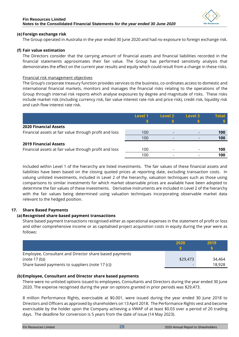

#### **(e) Foreign exchange risk**

The Group operated in Australia in the year ended 30 June 2020 and had no exposure to foreign exchange risk.

#### **(f) Fair value estimation**

The Directors consider that the carrying amount of financial assets and financial liabilities recorded in the financial statements approximates their fair value. The Group has performed sensitivity analysis that demonstrates the effect on the current year results and equity which could result from a change in these risks.

#### Financial risk management objectives

The Group's corporate treasury function provides services to the business, co-ordinates access to domestic and international financial markets, monitors and manages the financial risks relating to the operations of the Group through internal risk reports which analyse exposures by degree and magnitude of risks. These risks include market risk (including currency risk, fair value interest rate risk and price risk), credit risk, liquidity risk and cash flow interest rate risk.

|                                                        | Level 1 | Level 2 | Level 3 | Total |
|--------------------------------------------------------|---------|---------|---------|-------|
| <b>2020 Financial Assets</b>                           |         |         |         |       |
| Financial assets at fair value through profit and loss | 100     |         |         | 100   |
|                                                        | 100     |         |         | 100   |
| <b>2019 Financial Assets</b>                           |         |         |         |       |
| Financial assets at fair value through profit and loss | 100     |         |         | 100   |
|                                                        | 100     |         |         | 100   |

Included within Level 1 of the hierarchy are listed investments. The fair values of these financial assets and liabilities have been based on the closing quoted prices at reporting date, excluding transaction costs. In valuing unlisted investments, included in Level 2 of the hierarchy, valuation techniques such as those using comparisons to similar investments for which market observable prices are available have been adopted to determine the fair values of these investments. Derivative instruments are included in Level 2 of the hierarchy with the fair values being determined using valuation techniques incorporating observable market data relevant to the hedged position.

# **17. Share Based Payments**

# **(a)Recognised share based payment transactions**

Share based payment transactions recognised either as operational expenses in the statement of profit or loss and other comprehensive income or as capitalised project acquisition costs in equity during the year were as follows:

|                                                        | 2020                     | 2019   |
|--------------------------------------------------------|--------------------------|--------|
| Employee, Consultant and Director share based payments |                          |        |
| (note 17(b))                                           | \$29,473                 | 34,464 |
| Share based payments to suppliers (note 17 (c))        | $\overline{\phantom{0}}$ | 18,928 |

# **(b)Employee, Consultant and Director share based payments**

There were no unlisted options issued to employees, Consultants and Directors during the year ended 30 June 2020. The expense recognised during the year on options granted in prior periods was \$29,473.

8 million Performance Rights, exercisable at \$0.001, were issued during the year ended 30 June 2018 to Directors and Officers as approved by shareholders on 13 April 2018. The Performance Rights vest and become exercisable by the holder upon the Company achieving a VWAP of at least \$0.03 over a period of 20 trading days. The deadline for conversion is 5 years from the date of issue (14 May 2023).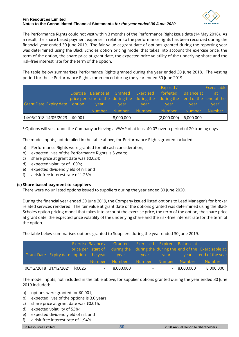

The Performance Rights could not vest within 3 months of the Performance Right issue date (14 May 2018). As a result, the share based payment expense in relation to the performance rights has been recorded during the financial year ended 30 June 2019. The fair value at grant date of options granted during the reporting year was determined using the Black Scholes option pricing model that takes into account the exercise price, the term of the option, the share price at grant date, the expected price volatility of the underlying share and the risk-free interest rate for the term of the option.

The table below summarises Performance Rights granted during the year ended 30 June 2018. The vesting period for these Performance Rights commenced during the year ended 30 June 2019:

| <b>Grant Date Expiry date</b> | option  | Exercise Balance at Granted Exercised<br><b>vear</b><br><b>Number</b> | <b>vear</b><br><b>Number</b> | <b>vear</b><br><b>Number</b> | Expired /<br>forfeited<br>price per start of the during the during the during the end of the end of the<br><b>vear</b><br><b>Number</b> | <b>Balance at</b><br><b>vear</b><br><b>Number</b> | Exercisable<br>at<br>year <sup>1</sup><br><b>Number</b> |
|-------------------------------|---------|-----------------------------------------------------------------------|------------------------------|------------------------------|-----------------------------------------------------------------------------------------------------------------------------------------|---------------------------------------------------|---------------------------------------------------------|
| 14/05/2018 14/05/2023         | \$0.001 |                                                                       | $-8,000,000$                 | $\overline{\phantom{a}}$     | (2,000,000)                                                                                                                             | 6,000,000                                         |                                                         |

<sup>1</sup> Options will vest upon the Company achieving a VWAP of at least \$0.03 over a period of 20 trading days.

The model inputs, not detailed in the table above, for Performance Rights granted included:

- a) Performance Rights were granted for nil cash consideration;
- b) expected lives of the Performance Rights is 5 years;
- c) share price at grant date was \$0.024;
- d) expected volatility of 100%;
- e) expected dividend yield of nil; and
- f) a risk-free interest rate of 1.25%

#### **(c) Share-based payment to suppliers**

There were no unlisted options issued to suppliers during the year ended 30 June 2020.

During the financial year ended 30 June 2019, the Company issued listed options to Lead Manager's for broker related services rendered. The fair value at grant date of the options granted was determined using the Black Scholes option pricing model that takes into account the exercise price, the term of the option, the share price at grant date, the expected price volatility of the underlying share and the risk-free interest rate for the term of the option.

The table below summarises options granted to Suppliers during the year ended 30 June 2019.

| Grant Date Expiry date option the year |  |        | Exercise Balance at Granted Exercised Expired Balance at<br>vear | vear                         | <b>vear</b> |              | price per start of during the during the during the end of the Exercisable at<br>year end of the year |
|----------------------------------------|--|--------|------------------------------------------------------------------|------------------------------|-------------|--------------|-------------------------------------------------------------------------------------------------------|
|                                        |  | Number | Number <b>Number</b>                                             | - Number - Number - Number - |             |              | Number                                                                                                |
| 06/12/2018 31/12/2021 \$0.025          |  |        | 8,000,000                                                        | $\overline{\phantom{a}}$     |             | $-8,000,000$ | 8,000,000                                                                                             |

The model inputs, not included in the table above, for supplier options granted during the year ended 30 June 2019 included:

- a) options were granted for \$0.001;
- b) expected lives of the options is 3.0 years;
- c) share price at grant date was \$0.015;
- d) expected volatility of 53%;
- e) expected dividend yield of nil; and
- f) a risk-free interest rate of 1.94%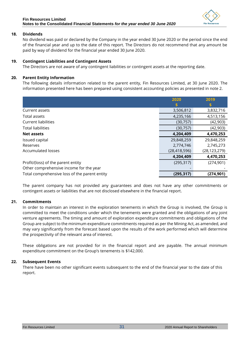

# **18. Dividends**

No dividend was paid or declared by the Company in the year ended 30 June 2020 or the period since the end of the financial year and up to the date of this report. The Directors do not recommend that any amount be paid by way of dividend for the financial year ended 30 June 2020.

#### **19. Contingent Liabilities and Contingent Assets**

The Directors are not aware of any contingent liabilities or contingent assets at the reporting date.

#### **20. Parent Entity Information**

The following details information related to the parent entity, Fin Resources Limited, at 30 June 2020. The information presented here has been prepared using consistent accounting policies as presented in note 2.

|                                               | 2020           | 2019           |
|-----------------------------------------------|----------------|----------------|
|                                               |                |                |
| Current assets                                | 3,506,812      | 3,832,716      |
| Total assets                                  | 4,235,166      | 4,513,156      |
| <b>Current liabilities</b>                    | (30, 757)      | (42,903)       |
| <b>Total liabilities</b>                      | (30, 757)      | (42,903)       |
| <b>Net assets</b>                             | 4,204,409      | 4,470,253      |
| Issued capital                                | 29,848,259     | 29,848,259     |
| Reserves                                      | 2,774,746      | 2,745,273      |
| <b>Accumulated losses</b>                     | (28, 418, 596) | (28, 123, 279) |
|                                               | 4,204,409      | 4,470,253      |
| Profit/(loss) of the parent entity            | (295, 317)     | (274, 901)     |
| Other comprehensive income for the year       |                |                |
| Total comprehensive loss of the parent entity | (295, 317)     | (274, 901)     |

The parent company has not provided any guarantees and does not have any other commitments or contingent assets or liabilities that are not disclosed elsewhere in the financial report.

# **21. Commitments**

In order to maintain an interest in the exploration tenements in which the Group is involved, the Group is committed to meet the conditions under which the tenements were granted and the obligations of any joint venture agreements. The timing and amount of exploration expenditure commitments and obligations of the Group are subject to the minimum expenditure commitments required as per the Mining Act, as amended, and may vary significantly from the forecast based upon the results of the work performed which will determine the prospectivity of the relevant area of interest.

These obligations are not provided for in the financial report and are payable. The annual minimum expenditure commitment on the Group's tenements is \$142,000.

#### **22. Subsequent Events**

There have been no other significant events subsequent to the end of the financial year to the date of this report.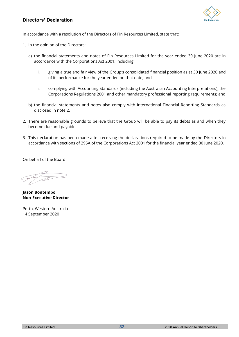

In accordance with a resolution of the Directors of Fin Resources Limited, state that:

- 1. In the opinion of the Directors:
	- a) the financial statements and notes of Fin Resources Limited for the year ended 30 June 2020 are in accordance with the Corporations Act 2001, including:
		- i. giving a true and fair view of the Group's consolidated financial position as at 30 June 2020 and of its performance for the year ended on that date; and
		- ii. complying with Accounting Standards (including the Australian Accounting Interpretations), the Corporations Regulations 2001 and other mandatory professional reporting requirements; and
	- b) the financial statements and notes also comply with International Financial Reporting Standards as disclosed in note 2.
- 2. There are reasonable grounds to believe that the Group will be able to pay its debts as and when they become due and payable.
- 3. This declaration has been made after receiving the declarations required to be made by the Directors in accordance with sections of 295A of the Corporations Act 2001 for the financial year ended 30 June 2020.

On behalf of the Board

**Jason Bontempo Non-Executive Director**

Perth, Western Australia 14 September 2020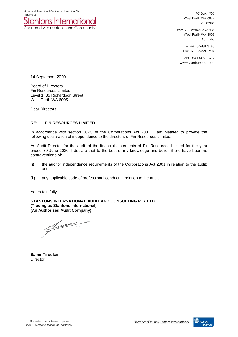

PO Box 1908 West Perth WA 6872 Australia

Level 2, 1 Walker Avenue West Perth WA 6005 Australia

> Tel: +61 8 9481 3188 Fax: +61 8 9321 1204

ABN: 84 144 581 519 www.stantons.com.au

14 September 2020

Board of Directors Fin Resources Limited Level 1, 35 Richardson Street West Perth WA 6005

Dear Directors

#### **RE: FIN RESOURCES LIMITED**

In accordance with section 307C of the Corporations Act 2001, I am pleased to provide the following declaration of independence to the directors of Fin Resources Limited.

As Audit Director for the audit of the financial statements of Fin Resources Limited for the year ended 30 June 2020, I declare that to the best of my knowledge and belief, there have been no contraventions of:

- (i) the auditor independence requirements of the Corporations Act 2001 in relation to the audit; and
- (ii) any applicable code of professional conduct in relation to the audit.

Yours faithfully

**STANTONS INTERNATIONAL AUDIT AND CONSULTING PTY LTD (Trading as Stantons International) (An Authorised Audit Company)**

frais.

**Samir Tirodkar Director** 

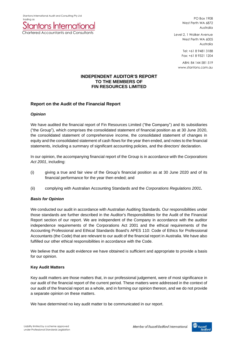Chartered Accountants and Consultants

PO Box 1908 West Perth WA 6872 Australia

Level 2, 1 Walker Avenue West Perth WA 6005 Australia

> Tel: +61 8 9481 3188 Fax: +61 8 9321 1204

ABN: 84 144 581 519 www.stantons.com.au

## **INDEPENDENT AUDITOR'S REPORT TO THE MEMBERS OF FIN RESOURCES LIMITED**

# **Report on the Audit of the Financial Report**

#### *Opinion*

We have audited the financial report of Fin Resources Limited ("the Company") and its subsidiaries ("the Group"), which comprises the consolidated statement of financial position as at 30 June 2020, the consolidated statement of comprehensive income, the consolidated statement of changes in equity and the consolidated statement of cash flows for the year then ended, and notes to the financial statements, including a summary of significant accounting policies, and the directors' declaration.

In our opinion, the accompanying financial report of the Group is in accordance with the *Corporations Act 2001*, including:

- (i) giving a true and fair view of the Group's financial position as at 30 June 2020 and of its financial performance for the year then ended; and
- (ii) complying with Australian Accounting Standards and the *Corporations Regulations 2001***.**

#### *Basis for Opinion*

We conducted our audit in accordance with Australian Auditing Standards. Our responsibilities under those standards are further described in the Auditor's Responsibilities for the Audit of the Financial Report section of our report. We are independent of the Company in accordance with the auditor independence requirements of the Corporations Act 2001 and the ethical requirements of the Accounting Professional and Ethical Standards Board's APES 110: Code of Ethics for Professional Accountants (the Code) that are relevant to our audit of the financial report in Australia. We have also fulfilled our other ethical responsibilities in accordance with the Code.

We believe that the audit evidence we have obtained is sufficient and appropriate to provide a basis for our opinion.

#### **Key Audit Matters**

Key audit matters are those matters that, in our professional judgement, were of most significance in our audit of the financial report of the current period. These matters were addressed in the context of our audit of the financial report as a whole, and in forming our opinion thereon, and we do not provide a separate opinion on these matters.

We have determined no key audit matter to be communicated in our report.

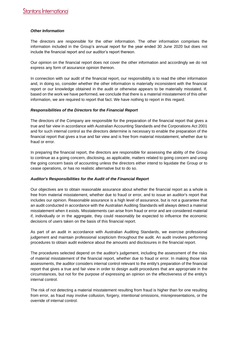#### *Other Information*

The directors are responsible for the other information. The other information comprises the information included in the Group's annual report for the year ended 30 June 2020 but does not include the financial report and our auditor's report thereon.

Our opinion on the financial report does not cover the other information and accordingly we do not express any form of assurance opinion thereon.

In connection with our audit of the financial report, our responsibility is to read the other information and, in doing so, consider whether the other information is materially inconsistent with the financial report or our knowledge obtained in the audit or otherwise appears to be materially misstated. If, based on the work we have performed, we conclude that there is a material misstatement of this other information, we are required to report that fact. We have nothing to report in this regard.

#### *Responsibilities of the Directors for the Financial Report*

The directors of the Company are responsible for the preparation of the financial report that gives a true and fair view in accordance with Australian Accounting Standards and the Corporations Act 2001 and for such internal control as the directors determine is necessary to enable the preparation of the financial report that gives a true and fair view and is free from material misstatement, whether due to fraud or error.

In preparing the financial report, the directors are responsible for assessing the ability of the Group to continue as a going concern, disclosing, as applicable, matters related to going concern and using the going concern basis of accounting unless the directors either intend to liquidate the Group or to cease operations, or has no realistic alternative but to do so.

#### *Auditor's Responsibilities for the Audit of the Financial Report*

Our objectives are to obtain reasonable assurance about whether the financial report as a whole is free from material misstatement, whether due to fraud or error, and to issue an auditor's report that includes our opinion. Reasonable assurance is a high level of assurance, but is not a guarantee that an audit conducted in accordance with the Australian Auditing Standards will always detect a material misstatement when it exists. Misstatements can arise from fraud or error and are considered material if, individually or in the aggregate, they could reasonably be expected to influence the economic decisions of users taken on the basis of this financial report.

As part of an audit in accordance with Australian Auditing Standards, we exercise professional judgement and maintain professional scepticism throughout the audit. An audit involves performing procedures to obtain audit evidence about the amounts and disclosures in the financial report.

The procedures selected depend on the auditor's judgement, including the assessment of the risks of material misstatement of the financial report, whether due to fraud or error. In making those risk assessments, the auditor considers internal control relevant to the entity's preparation of the financial report that gives a true and fair view in order to design audit procedures that are appropriate in the circumstances, but not for the purpose of expressing an opinion on the effectiveness of the entity's internal control.

The risk of not detecting a material misstatement resulting from fraud is higher than for one resulting from error, as fraud may involve collusion, forgery, intentional omissions, misrepresentations, or the override of internal control.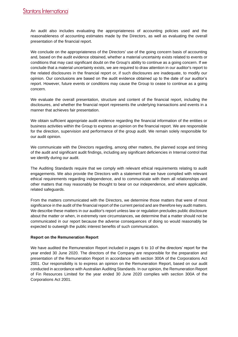An audit also includes evaluating the appropriateness of accounting policies used and the reasonableness of accounting estimates made by the Directors, as well as evaluating the overall presentation of the financial report.

We conclude on the appropriateness of the Directors' use of the going concern basis of accounting and, based on the audit evidence obtained, whether a material uncertainty exists related to events or conditions that may cast significant doubt on the Group's ability to continue as a going concern. If we conclude that a material uncertainty exists, we are required to draw attention in our auditor's report to the related disclosures in the financial report or, if such disclosures are inadequate, to modify our opinion. Our conclusions are based on the audit evidence obtained up to the date of our auditor's report. However, future events or conditions may cause the Group to cease to continue as a going concern.

We evaluate the overall presentation, structure and content of the financial report, including the disclosures, and whether the financial report represents the underlying transactions and events in a manner that achieves fair presentation.

We obtain sufficient appropriate audit evidence regarding the financial information of the entities or business activities within the Group to express an opinion on the financial report. We are responsible for the direction, supervision and performance of the group audit. We remain solely responsible for our audit opinion.

We communicate with the Directors regarding, among other matters, the planned scope and timing of the audit and significant audit findings, including any significant deficiencies in Internal control that we identify during our audit.

The Auditing Standards require that we comply with relevant ethical requirements relating to audit engagements. We also provide the Directors with a statement that we have complied with relevant ethical requirements regarding independence, and to communicate with them all relationships and other matters that may reasonably be thought to bear on our independence, and where applicable, related safeguards.

From the matters communicated with the Directors, we determine those matters that were of most significance in the audit of the financial report of the current period and are therefore key audit matters. We describe these matters in our auditor's report unless law or regulation precludes public disclosure about the matter or when, in extremely rare circumstances, we determine that a matter should not be communicated in our report because the adverse consequences of doing so would reasonably be expected to outweigh the public interest benefits of such communication.

# **Report on the Remuneration Report**

We have audited the Remuneration Report included in pages 6 to 10 of the directors' report for the year ended 30 June 2020. The directors of the Company are responsible for the preparation and presentation of the Remuneration Report in accordance with section 300A of the Corporations Act 2001. Our responsibility is to express an opinion on the Remuneration Report, based on our audit conducted in accordance with Australian Auditing Standards. In our opinion, the Remuneration Report of Fin Resources Limited for the year ended 30 June 2020 complies with section 300A of the Corporations Act 2001.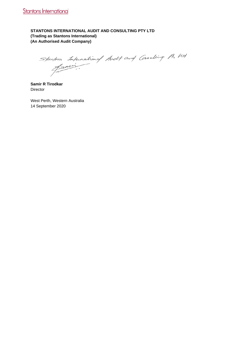## **STANTONS INTERNATIONAL AUDIT AND CONSULTING PTY LTD (Trading as Stantons International) (An Authorised Audit Company)**

Stantons International Anolit and Consuling A, US

**Samir R Tirodkar** Director

West Perth, Western Australia 14 September 2020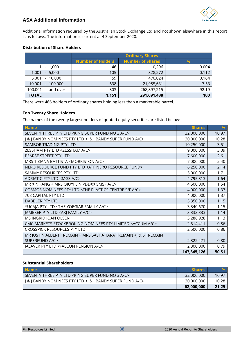

# **ASX Additional Information**

Additional information required by the Australian Stock Exchange Ltd and not shown elsewhere in this report is as follows. The information is current at 4 September 2020.

#### **Distribution of Share Holders**

|                       | <b>Ordinary Shares</b>   |                         |       |  |  |
|-----------------------|--------------------------|-------------------------|-------|--|--|
|                       | <b>Number of Holders</b> | <b>Number of Shares</b> | $\%$  |  |  |
| $-1,000$              | 46                       | 10,296                  | 0.004 |  |  |
| 1,001<br>$-5,000$     | 105                      | 328,272                 | 0.112 |  |  |
| 5,001<br>$-10,000$    | 59                       | 470,024                 | 0.164 |  |  |
| 10,001<br>$-100,000$  | 638                      | 21,985,631              | 7.53  |  |  |
| 100,001<br>- and over | 303                      | 268,897,215             | 92.19 |  |  |
| <b>TOTAL</b>          | 1,151                    | 291,691,438             | 100   |  |  |

There were 466 holders of ordinary shares holding less than a marketable parcel.

#### **Top Twenty Share Holders**

The names of the twenty largest holders of quoted equity securities are listed below:

| <b>Name</b>                                                                        | <b>Shares</b> | $\frac{9}{6}$ |
|------------------------------------------------------------------------------------|---------------|---------------|
| SEVENTY THREE PTY LTD <king 3="" a="" c="" fund="" no="" super=""></king>          | 32,000,000    | 10.97         |
| J & J BANDY NOMINEES PTY LTD <j &="" a="" bandy="" c="" fund="" j="" super=""></j> | 30,000,000    | 10.28         |
| SAMBOR TRADING PTY LTD                                                             | 10,250,000    | 3.51          |
| ZESSHAM PTY LTD <zessham a="" c=""></zessham>                                      | 9,000,000     | 3.09          |
| PEARSE STREET PTY LTD                                                              | 7,600,000     | 2.61          |
| MRS TIZIANA BATTISTA <morriston a="" c=""></morriston>                             | 7,000,000     | 2.40          |
| NERO RESOURCE FUND PTY LTD <atf fund="" nero="" resource=""></atf>                 | 6,250,000     | 2.14          |
| SAMMY RESOURCES PTY LTD                                                            | 5,000,000     | 1.71          |
| ADRIATIC PTY LTD <mgs a="" c=""></mgs>                                             | 4,795,313     | 1.64          |
| MR XIN FANG + MRS QIUYI LIN <ddxx a="" c="" smsf=""></ddxx>                        | 4,500,000     | 1.54          |
| COSMOS NOMINEES PTY LTD <the a="" c="" centre="" f="" plastics="" s=""></the>      | 4,000,000     | 1.37          |
| 708 CAPITAL PTY LTD                                                                | 4,000,000     | 1.37          |
| <b>DABBLER PTY LTD</b>                                                             | 3,350,000     | 1.15          |
| YUCAJA PTY LTD <the a="" c="" family="" yoegiar=""></the>                          | 3,340,670     | 1.15          |
| JAMEKER PTY LTD <akj a="" c="" family=""></akj>                                    | 3,333,333     | 1.14          |
| MS INGRID JOAN OLSEN                                                               | 3,288,928     | 1.13          |
| CMC MARKETS STOCKBROKING NOMINEES PTY LIMITED <accum a="" c=""></accum>            | 2,514,411     | 0.86          |
| <b>CROSSPICK RESOURCES PTY LTD</b>                                                 | 2,500,000     | 0.86          |
|                                                                                    |               |               |
| SUPERFUND A/C>                                                                     | 2,322,471     | 0.80          |
| JALAVER PTY LTD <falcon a="" c="" pension=""></falcon>                             | 2,300,000     | 0.79          |
|                                                                                    | 147,345,126   | 50.51         |

# **Substantial Shareholders**

| <b>Name</b>                                                               | <b>Shares</b> |       |
|---------------------------------------------------------------------------|---------------|-------|
| SEVENTY THREE PTY LTD <king 3="" a="" c="" fund="" no="" super=""></king> | 32,000,000    | 10.97 |
|                                                                           | 30,000,000    | 10.28 |
|                                                                           | 62,000,000    | 21.25 |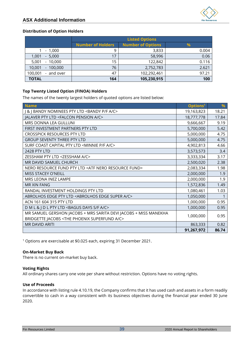# **Distribution of Option Holders**

|                       | <b>Listed Options</b>    |                          |       |  |  |
|-----------------------|--------------------------|--------------------------|-------|--|--|
|                       | <b>Number of Holders</b> | <b>Number of Options</b> | %     |  |  |
| $-1,000$              | 9                        | 3,833                    | 0.004 |  |  |
| $-5,000$<br>1,001     | 17                       | 58,996                   | 0.06  |  |  |
| $-10,000$<br>5,001    | 15                       | 122,842                  | 0.116 |  |  |
| 10,001<br>$-100,000$  | 76                       | 2,752,783                | 2.621 |  |  |
| 100,001<br>- and over | 47                       | 102,292,461              | 97.21 |  |  |
| <b>TOTAL</b>          | 164                      | 105,230,915              | 100   |  |  |

# **Top Twenty Listed Option (FINOA) Holders**

The names of the twenty largest holders of quoted options are listed below:

| <b>Name</b>                                                            | Options <sup>1</sup> | %     |
|------------------------------------------------------------------------|----------------------|-------|
| & J BANDY NOMINEES PTY LTD <bandy a="" c="" f="" p=""></bandy>         | 19,163,823           | 18.21 |
| JALAVER PTY LTD <falcon a="" c="" pension=""></falcon>                 | 18,777,778           | 17.84 |
| MRS DONNA LEA GULLUNI                                                  | 9,666,667            | 9.19  |
| FIRST INVESTMENT PARTNERS PTY LTD                                      | 5,700,000            | 5.42  |
| <b>CROSSPICK RESOURCES PTY LTD</b>                                     | 5,000,000            | 4.75  |
| <b>GROUP SEVENTY THREE PTY LTD</b>                                     | 5,000,000            | 4.75  |
| SURF COAST CAPITAL PTY LTD <minnie a="" c="" f="" p=""></minnie>       | 4,902,813            | 4.66  |
| 2428 PTY LTD                                                           | 3,573,573            | 3.4   |
| ZESSHAM PTY LTD <zessham a="" c=""></zessham>                          | 3,333,334            | 3.17  |
| MR DAVID SAMUEL CHURCH                                                 | 2,500,020            | 2.38  |
| NERO RESOURCE FUND PTY LTD <atf fund="" nero="" resource=""></atf>     | 2,083,334            | 1.98  |
| MISS STACEY O'NEILL                                                    | 2,000,000            | 1.9   |
| MRS LEONA INEZ LAMPE                                                   | 2,000,000            | 1.9   |
| <b>MR XIN FANG</b>                                                     | 1,572,836            | 1.49  |
| RANDAL INVESTMENT HOLDINGS PTY LTD                                     | 1,080,461            | 1.03  |
| ABROLHOS EDGE PTY LTD <abrolhos a="" c="" edge="" super=""></abrolhos> | 1,050,000            |       |
| ACN 161 604 315 PTY LTD                                                | 1,000,000            | 0.95  |
| D M L & J D L PTY LTD <bagus a="" c="" days="" f="" s=""></bagus>      | 1,000,000            | 0.95  |
| MR SAMUEL GERSHON JACOBS + MRS SARITA DEVI JACOBS + MISS MANEKHA       |                      |       |
| BRIDGETTE JACOBS <the a="" c="" phoenix="" superfund=""></the>         | 1,000,000            | 0.95  |
| MR DAVID ARITI                                                         | 863,333              | 0.82  |
|                                                                        | 91,267,972           | 86.74 |

<sup>1</sup> Options are exercisable at \$0.025 each, expiring 31 December 2021.

# **On-Market Buy Back**

There is no current on-market buy back.

#### **Voting Rights**

All ordinary shares carry one vote per share without restriction. Options have no voting rights.

#### **Use of Proceeds**

In accordance with listing rule 4.10.19, the Company confirms that it has used cash and assets in a form readily convertible to cash in a way consistent with its business objectives during the financial year ended 30 June 2020.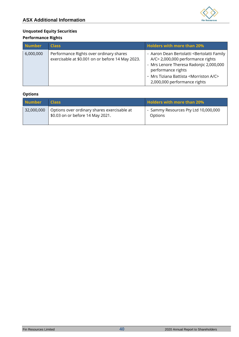

# **Unquoted Equity Securities**

# **Performance Rights**

| <b>Number</b> | <b>Class</b>                                                                                | <b>Holders with more than 20%</b>                                                                                                                                                                                                                                   |
|---------------|---------------------------------------------------------------------------------------------|---------------------------------------------------------------------------------------------------------------------------------------------------------------------------------------------------------------------------------------------------------------------|
| 6,000,000     | Performance Rights over ordinary shares<br>exercisable at \$0.001 on or before 14 May 2023. | - Aaron Dean Bertolatti <bertolatti family<br="">A/C&gt; 2,000,000 performance rights<br/>- Mrs Lenore Theresa Radonjic 2,000,000<br/>performance rights<br/>- Mrs Tiziana Battista <morriston a="" c=""><br/>2,000,000 performance rights</morriston></bertolatti> |

# **Options**

| <b>Number</b> | <b>Class</b>                                                                    | <b>Holders with more than 20%</b>               |
|---------------|---------------------------------------------------------------------------------|-------------------------------------------------|
| 32,000,000    | Options over ordinary shares exercisable at<br>\$0.03 on or before 14 May 2021. | - Sammy Resources Pty Ltd 10,000,000<br>Options |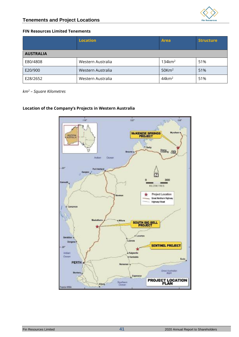

# **FIN Resources Limited Tenements**

|                  | <b>Location</b>   | <b>Area</b>         | <b>Structure</b> |  |  |  |
|------------------|-------------------|---------------------|------------------|--|--|--|
| <b>AUSTRALIA</b> |                   |                     |                  |  |  |  |
| E80/4808         | Western Australia | $134 \mathrm{km}^2$ | 51%              |  |  |  |
| E20/900          | Western Australia | $50$ K $m2$         | 51%              |  |  |  |
| E28/2652         | Western Australia | $44 \mathrm{km}^2$  | 51%              |  |  |  |

## *km<sup>2</sup> – Square Kilometres*

# **Location of the Company's Projects in Western Australia**